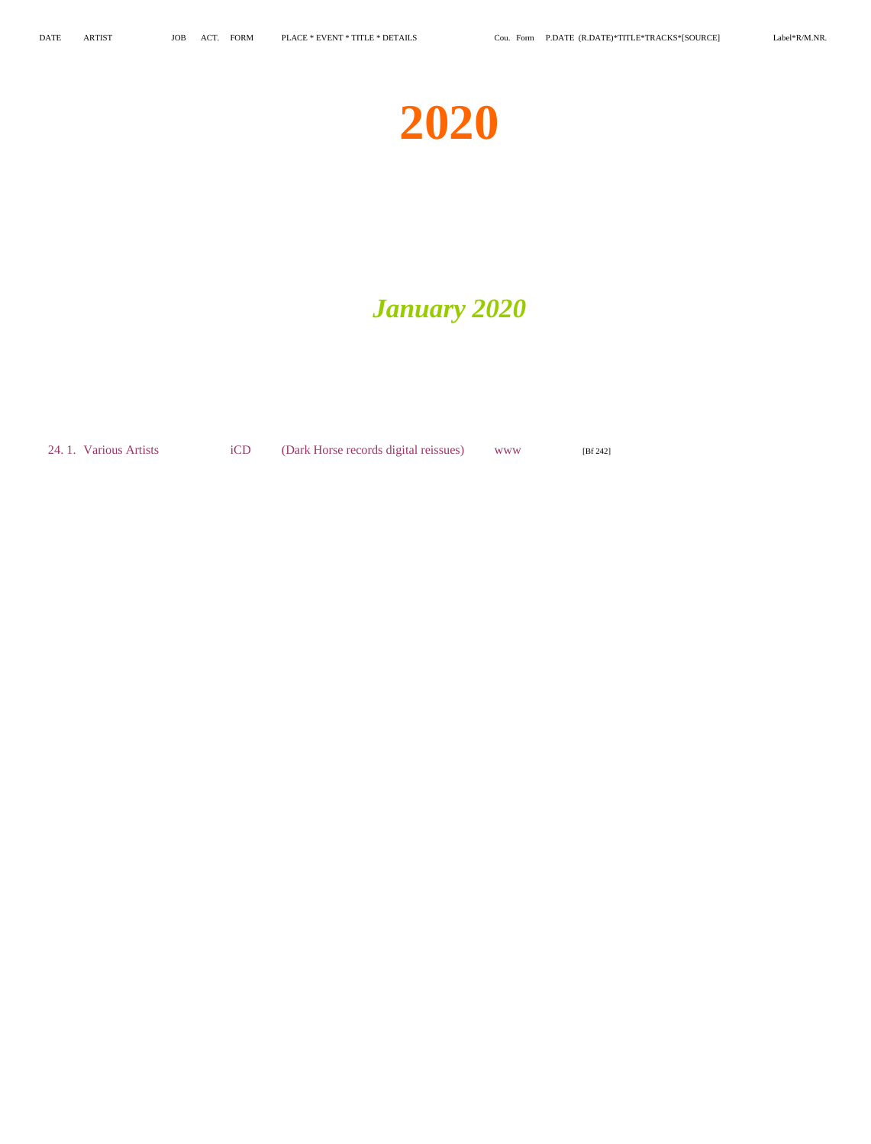# **2020**

# *January 2020*

24. 1. Various Artists iCD (Dark Horse records digital reissues) www [Bf 242]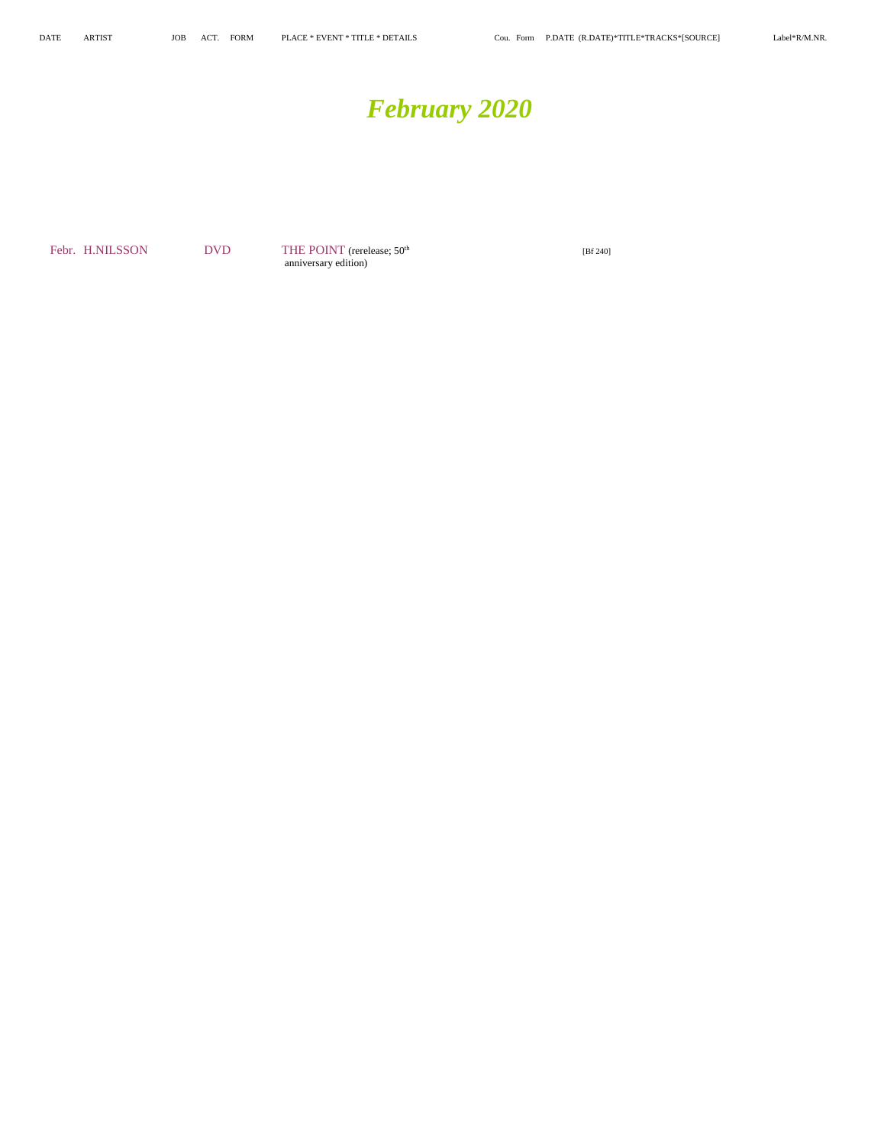# *February 2020*

Febr. H.NILSSON DVD THE POINT (rerelease;  $50<sup>th</sup>$  [Bf 240] anniversary edition)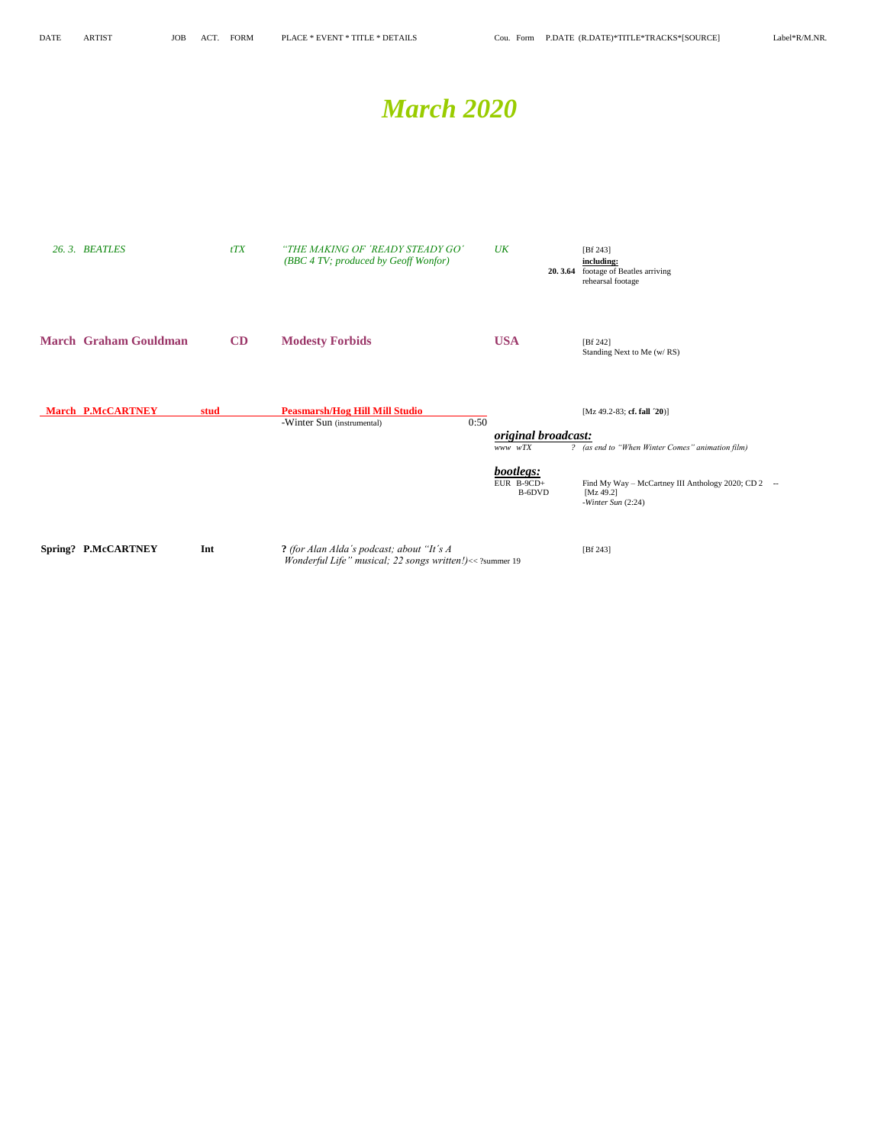## *March 2020*

| 26.3. BEATLES                | tTX  | "THE MAKING OF 'READY STEADY GO'<br>(BBC 4 TV; produced by Geoff Wonfor)                              | $U\!K$                                                                     | [ $Bf 243$ ]<br>including:<br>20.3.64 footage of Beatles arriving<br>rehearsal footage                                                               |
|------------------------------|------|-------------------------------------------------------------------------------------------------------|----------------------------------------------------------------------------|------------------------------------------------------------------------------------------------------------------------------------------------------|
| <b>March Graham Gouldman</b> | CD   | <b>Modesty Forbids</b>                                                                                | <b>USA</b>                                                                 | [Bf 242]<br>Standing Next to Me (w/RS)                                                                                                               |
| <b>March P.McCARTNEY</b>     | stud | <b>Peasmarsh/Hog Hill Mill Studio</b><br>0:50<br>-Winter Sun (instrumental)                           | <i>original broadcast:</i><br>www wTX<br>bootlegs:<br>EUR B-9CD+<br>B-6DVD | [Mz 49.2-83; cf. fall $20$ ]<br>? (as end to "When Winter Comes" animation film)<br>Find My Way - McCartney III Anthology 2020; CD 2 --<br>[Mz 49.2] |
| Spring? P.McCARTNEY          | Int  | ? (for Alan Alda's podcast; about "It's A<br>Wonderful Life" musical; 22 songs written!)<< ?summer 19 |                                                                            | -Winter Sun $(2:24)$<br>[Bf 243]                                                                                                                     |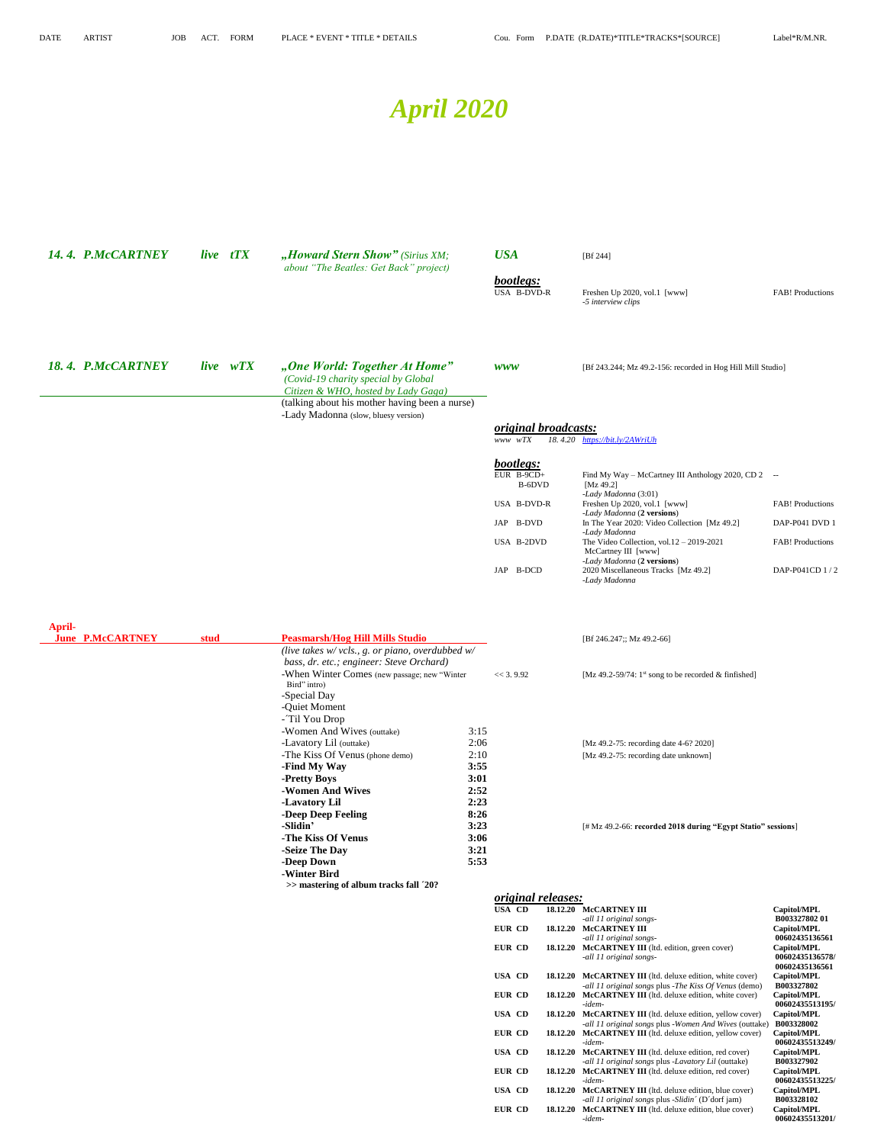# *April 2020*

| 14.4. P.McCARTNEY                        |      | live tTX | "Howard Stern Show" (Sirius XM;<br>about "The Beatles: Get Back" project)                                                                                                                                                                                                                                                |                                                                                              | <b>USA</b>                                                                     | [Bf 244]                                                                                                                                                                                                                                                                                                                      |                                                                                 |
|------------------------------------------|------|----------|--------------------------------------------------------------------------------------------------------------------------------------------------------------------------------------------------------------------------------------------------------------------------------------------------------------------------|----------------------------------------------------------------------------------------------|--------------------------------------------------------------------------------|-------------------------------------------------------------------------------------------------------------------------------------------------------------------------------------------------------------------------------------------------------------------------------------------------------------------------------|---------------------------------------------------------------------------------|
|                                          |      |          |                                                                                                                                                                                                                                                                                                                          |                                                                                              | bootlegs:<br>USA B-DVD-R                                                       | Freshen Up 2020, vol.1 [www]<br>-5 interview clips                                                                                                                                                                                                                                                                            | <b>FAB!</b> Productions                                                         |
| 18.4. P.McCARTNEY                        |      | live wTX | "One World: Together At Home"<br>(Covid-19 charity special by Global<br>Citizen & WHO, hosted by Lady Gaga)<br>(talking about his mother having been a nurse)                                                                                                                                                            |                                                                                              | <b>WWW</b>                                                                     | [Bf 243.244; Mz 49.2-156: recorded in Hog Hill Mill Studio]                                                                                                                                                                                                                                                                   |                                                                                 |
|                                          |      |          | -Lady Madonna (slow, bluesy version)                                                                                                                                                                                                                                                                                     |                                                                                              | <i>original broadcasts:</i><br>www wTX                                         | 18.4.20 https://bit.ly/2AWriUh                                                                                                                                                                                                                                                                                                |                                                                                 |
|                                          |      |          |                                                                                                                                                                                                                                                                                                                          |                                                                                              | bootlegs:<br>EUR B-9CD+<br>B-6DVD<br>USA B-DVD-R<br>B-DVD<br>JAP<br>USA B-2DVD | Find My Way - McCartney III Anthology 2020, CD 2 --<br>[Mz 49.2]<br>-Lady Madonna (3:01)<br>Freshen Up 2020, vol.1 [www]<br>-Lady Madonna (2 versions)<br>In The Year 2020: Video Collection [Mz 49.2]<br>-Lady Madonna<br>The Video Collection, vol. $12 - 2019 - 2021$<br>McCartney III [www]<br>-Lady Madonna (2 versions) | <b>FAB!</b> Productions<br>DAP-P041 DVD 1<br><b>FAB!</b> Productions            |
|                                          |      |          |                                                                                                                                                                                                                                                                                                                          |                                                                                              | JAP B-DCD                                                                      | 2020 Miscellaneous Tracks [Mz 49.2]<br>-Lady Madonna                                                                                                                                                                                                                                                                          | DAP-P041CD 1/2                                                                  |
| <b>April-</b><br><b>June P.McCARTNEY</b> | stud |          | <b>Peasmarsh/Hog Hill Mills Studio</b><br>(live takes w/ vcls., g. or piano, overdubbed w/<br>bass, dr. etc.; engineer: Steve Orchard)<br>-When Winter Comes (new passage; new "Winter                                                                                                                                   |                                                                                              | << 3.9.92                                                                      | [Bf 246.247;; Mz 49.2-66]<br>[Mz 49.2-59/74: 1 <sup>st</sup> song to be recorded $\&$ finfished]                                                                                                                                                                                                                              |                                                                                 |
|                                          |      |          | Bird" intro)<br>-Special Day<br>-Quiet Moment<br>- Til You Drop<br>-Women And Wives (outtake)<br>-Lavatory Lil (outtake)<br>-The Kiss Of Venus (phone demo)<br>-Find My Way<br>-Pretty Boys<br>-Women And Wives<br>-Lavatory Lil<br>-Deep Deep Feeling<br>-Slidin'<br>-The Kiss Of Venus<br>-Seize The Day<br>-Deep Down | 3:15<br>2:06<br>2:10<br>3:55<br>3:01<br>2:52<br>2:23<br>8:26<br>3:23<br>3:06<br>3:21<br>5:53 |                                                                                | [Mz 49.2-75: recording date 4-6? 2020]<br>[Mz 49.2-75: recording date unknown]<br>[# Mz 49.2-66: recorded 2018 during "Egypt Statio" sessions]                                                                                                                                                                                |                                                                                 |
|                                          |      |          | -Winter Bird<br>>> mastering of album tracks fall '20?                                                                                                                                                                                                                                                                   |                                                                                              | <i>original releases:</i><br><b>USA CD</b>                                     | 18.12.20 McCARTNEY III                                                                                                                                                                                                                                                                                                        | Capitol/MPL                                                                     |
|                                          |      |          |                                                                                                                                                                                                                                                                                                                          |                                                                                              | EUR CD<br>EUR CD                                                               | -all 11 original songs-<br>18.12.20 McCARTNEY III<br>-all 11 original songs-<br>18.12.20 McCARTNEY III (ltd. edition, green cover)<br>-all 11 original songs-                                                                                                                                                                 | B00332780201<br>Capitol/MPL<br>00602435136561<br>Capitol/MPL<br>00602435136578/ |
|                                          |      |          |                                                                                                                                                                                                                                                                                                                          |                                                                                              | <b>USA CD</b><br>EUR CD                                                        | <b>18.12.20 McCARTNEY III</b> (ltd. deluxe edition, white cover)<br>-all 11 original songs plus -The Kiss Of Venus (demo)<br>18.12.20 McCARTNEY III (ltd. deluxe edition, white cover)                                                                                                                                        | 00602435136561<br>Capitol/MPL<br>B003327802<br>Capitol/MPL                      |
|                                          |      |          |                                                                                                                                                                                                                                                                                                                          |                                                                                              | <b>USA CD</b><br>EUR CD                                                        | -idem-<br>18.12.20 McCARTNEY III (ltd. deluxe edition, yellow cover)<br>-all 11 original songs plus -Women And Wives (outtake)<br>18.12.20 McCARTNEY III (ltd. deluxe edition, yellow cover)<br>-idem-                                                                                                                        | 00602435513195/<br>Capitol/MPL<br>B003328002<br>Capitol/MPL<br>00602435513249/  |
|                                          |      |          |                                                                                                                                                                                                                                                                                                                          |                                                                                              | <b>USA CD</b><br>EUR CD                                                        | 18.12.20 McCARTNEY III (ltd. deluxe edition, red cover)<br>-all 11 original songs plus -Lavatory Lil (outtake)<br>18.12.20 McCARTNEY III (ltd. deluxe edition, red cover)<br>-idem-                                                                                                                                           | Capitol/MPL<br>B003327902<br>Capitol/MPL<br>00602435513225/                     |
|                                          |      |          |                                                                                                                                                                                                                                                                                                                          |                                                                                              | <b>USA CD</b><br>EUR CD                                                        | 18.12.20 McCARTNEY III (ltd. deluxe edition, blue cover)<br>-all 11 original songs plus -Slidin' (D'dorf jam)<br>18.12.20 McCARTNEY III (ltd. deluxe edition, blue cover)<br>-idem-                                                                                                                                           | Capitol/MPL<br>B003328102<br>Capitol/MPL<br>00602435513201/                     |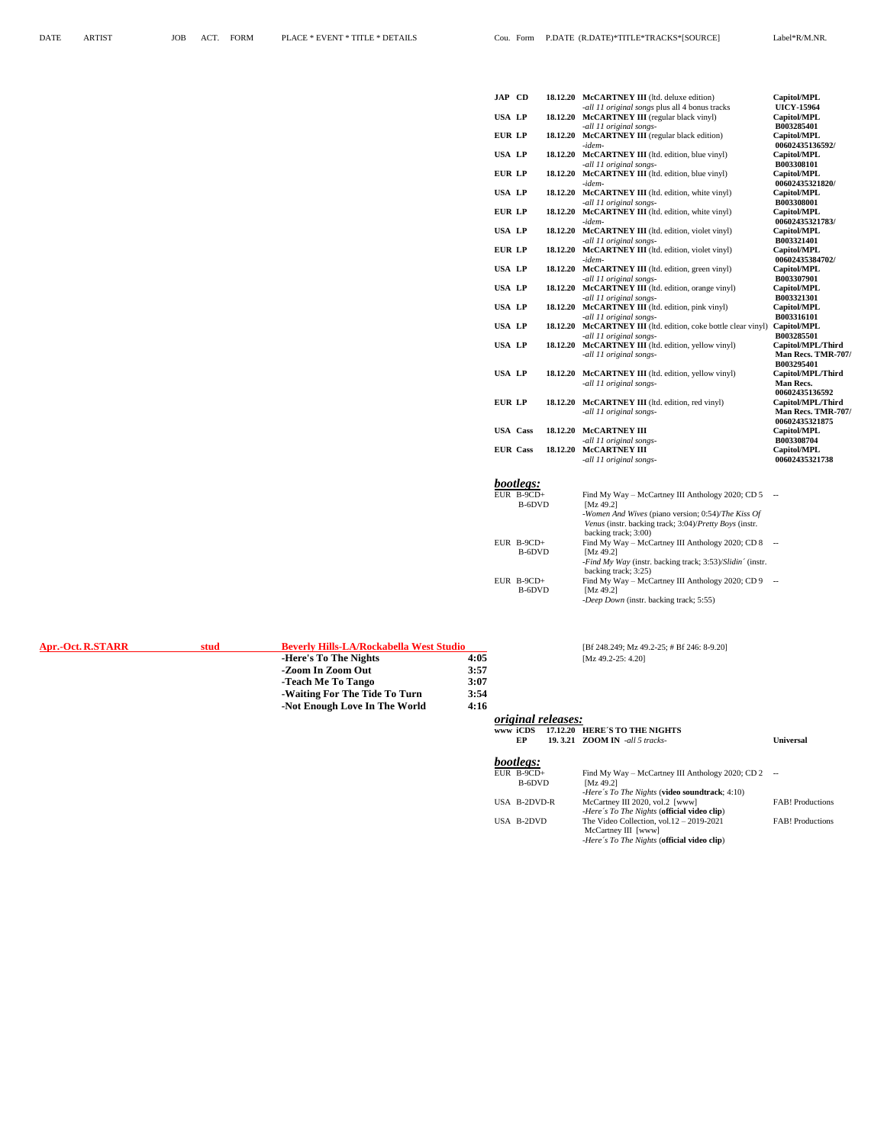**-Zoom In Zoom Out 3:57**

| <b>JAP CD</b>   |                  |          | 18.12.20 McCARTNEY III (ltd. deluxe edition)                 | Capitol/MPL        |
|-----------------|------------------|----------|--------------------------------------------------------------|--------------------|
|                 |                  |          | -all 11 original songs plus all 4 bonus tracks               | <b>UICY-15964</b>  |
| <b>USA LP</b>   |                  | 18.12.20 | <b>McCARTNEY III</b> (regular black vinyl)                   | Capitol/MPL        |
|                 |                  |          | -all 11 original songs-                                      | B003285401         |
| <b>EUR LP</b>   |                  | 18.12.20 | <b>McCARTNEY III</b> (regular black edition)                 | Capitol/MPL        |
|                 |                  |          | -idem-                                                       | 00602435136592/    |
| <b>USA LP</b>   |                  | 18.12.20 | McCARTNEY III (ltd. edition, blue vinyl)                     | Capitol/MPL        |
|                 |                  |          | -all 11 original songs-                                      | B003308101         |
| <b>EUR LP</b>   |                  | 18.12.20 | McCARTNEY III (ltd. edition, blue vinyl)                     | Capitol/MPL        |
|                 |                  |          | -idem-                                                       | 00602435321820/    |
| <b>USA LP</b>   |                  | 18.12.20 | McCARTNEY III (ltd. edition, white vinyl)                    | Capitol/MPL        |
|                 |                  |          | -all 11 original songs-                                      | B003308001         |
| EUR LP          |                  | 18.12.20 | McCARTNEY III (ltd. edition, white vinyl)                    | Capitol/MPL        |
|                 |                  |          | -idem-                                                       | 00602435321783/    |
| <b>USA LP</b>   |                  | 18.12.20 | McCARTNEY III (ltd. edition, violet vinyl)                   | Capitol/MPL        |
|                 |                  |          | -all 11 original songs-                                      | B003321401         |
| EUR LP          |                  | 18.12.20 | McCARTNEY III (ltd. edition, violet vinyl)                   | Capitol/MPL        |
|                 |                  |          | -idem-                                                       | 00602435384702/    |
| <b>USA LP</b>   |                  | 18.12.20 | <b>McCARTNEY III</b> (ltd. edition, green vinyl)             | Capitol/MPL        |
|                 |                  |          | -all 11 original songs-                                      | B003307901         |
| <b>USA LP</b>   |                  | 18.12.20 | McCARTNEY III (ltd. edition, orange vinyl)                   | Capitol/MPL        |
|                 |                  |          | -all 11 original songs-                                      | B003321301         |
| <b>USA LP</b>   |                  | 18.12.20 | <b>McCARTNEY III</b> (ltd. edition, pink vinyl)              | Capitol/MPL        |
|                 |                  |          | -all 11 original songs-                                      | B003316101         |
| <b>USA LP</b>   |                  | 18.12.20 | <b>McCARTNEY III</b> (ltd. edition, coke bottle clear vinyl) | Capitol/MPL        |
|                 |                  |          | -all 11 original songs-                                      | B003285501         |
| <b>USA LP</b>   |                  | 18.12.20 | McCARTNEY III (ltd. edition, yellow vinyl)                   | Capitol/MPL/Third  |
|                 |                  |          | -all 11 original songs-                                      | Man Recs. TMR-707/ |
|                 |                  |          |                                                              | B003295401         |
| <b>USA LP</b>   |                  | 18.12.20 | <b>McCARTNEY III</b> (ltd. edition, yellow vinyl)            | Capitol/MPL/Third  |
|                 |                  |          | -all 11 original songs-                                      | <b>Man Recs.</b>   |
|                 |                  |          |                                                              | 00602435136592     |
| <b>EUR LP</b>   |                  | 18.12.20 | <b>McCARTNEY III</b> (ltd. edition, red vinyl)               | Capitol/MPL/Third  |
|                 |                  |          | -all 11 original songs-                                      | Man Recs. TMR-707/ |
|                 |                  |          |                                                              | 00602435321875     |
| <b>USA</b> Cass |                  | 18.12.20 | <b>McCARTNEY III</b>                                         | Capitol/MPL        |
|                 |                  |          | -all 11 original songs-                                      | B003308704         |
| <b>EUR</b> Cass |                  | 18.12.20 | <b>McCARTNEY III</b>                                         | Capitol/MPL        |
|                 |                  |          | -all 11 original songs-                                      | 00602435321738     |
|                 |                  |          |                                                              |                    |
|                 | <i>bootlegs:</i> |          |                                                              |                    |
|                 |                  |          |                                                              |                    |

| ,,<br>Ш |  |  |
|---------|--|--|
|         |  |  |

| EUR B-9CD+ | Find My Way – McCartney III Anthology 2020; CD 5                          | $\sim$ |
|------------|---------------------------------------------------------------------------|--------|
| B-6DVD     | IMz 49.21                                                                 |        |
|            | -Women And Wives (piano version; 0:54)/The Kiss Of                        |        |
|            | Venus (instr. backing track; 3:04)/Pretty Boys (instr.                    |        |
|            | backing track; 3:00)                                                      |        |
| EUR B-9CD+ | Find My Way – McCartney III Anthology 2020; CD 8                          |        |
| B-6DVD     | IMz 49.21                                                                 |        |
|            | - <i>Find My Way</i> (instr. backing track; 3:53)/ <i>Slidin'</i> (instr. |        |
|            | backing track; 3:25)                                                      |        |
| EUR B-9CD+ | Find My Way – McCartney III Anthology 2020; CD 9                          |        |
| B-6DVD     | IMz 49.21                                                                 |        |
|            | -Deep Down (instr. backing track; 5:55)                                   |        |
|            |                                                                           |        |

**Apr.-Oct. R.STARR <b>stud Beverly Hills-LA/Rockabella West Studio** [Bf 248.249; Mz 49.2-25; # Bf 246: 8-9.20]<br>
Here's To The Nights 4:05 (Mz 49.2-25: 4.20) **-Here's To The Nights 4:05** [Mz 49.2-25: 4.20]<br> **4:05** [Mz 49.2-25: 4.20]

| -Teach Me To Tango<br>-Waiting For The Tide To Turn | 3:07<br>3:54 |                                     |                           |                                                                                                                                    |                          |
|-----------------------------------------------------|--------------|-------------------------------------|---------------------------|------------------------------------------------------------------------------------------------------------------------------------|--------------------------|
| -Not Enough Love In The World                       | 4:16         |                                     |                           |                                                                                                                                    |                          |
|                                                     |              |                                     | <i>original releases:</i> |                                                                                                                                    |                          |
|                                                     |              | www iCDS                            |                           | 17.12.20 HERE'S TO THE NIGHTS                                                                                                      |                          |
|                                                     |              | EP                                  |                           | 19.3.21 ZOOM IN -all 5 tracks-                                                                                                     | <b>Universal</b>         |
|                                                     |              | bootlegs:<br>EUR $B-9CD+$<br>B-6DVD |                           | Find My Way – McCartney III Anthology 2020; CD 2<br>[ $Mz$ 49.2]<br><i>-Here's To The Nights</i> ( <b>video soundtrack</b> ; 4:10) | $\overline{\phantom{a}}$ |
|                                                     |              | USA B-2DVD-R                        |                           | McCartney III 2020, vol.2 [www]<br>-Here's To The Nights ( <b>official video clip</b> )                                            | <b>FAB!</b> Productions  |
|                                                     |              | USA B-2DVD                          |                           | The Video Collection, vol. $12 - 2019 - 2021$<br>McCartney III [www]<br>-Here's To The Nights ( <b>official video clip</b> )       | <b>FAB!</b> Productions  |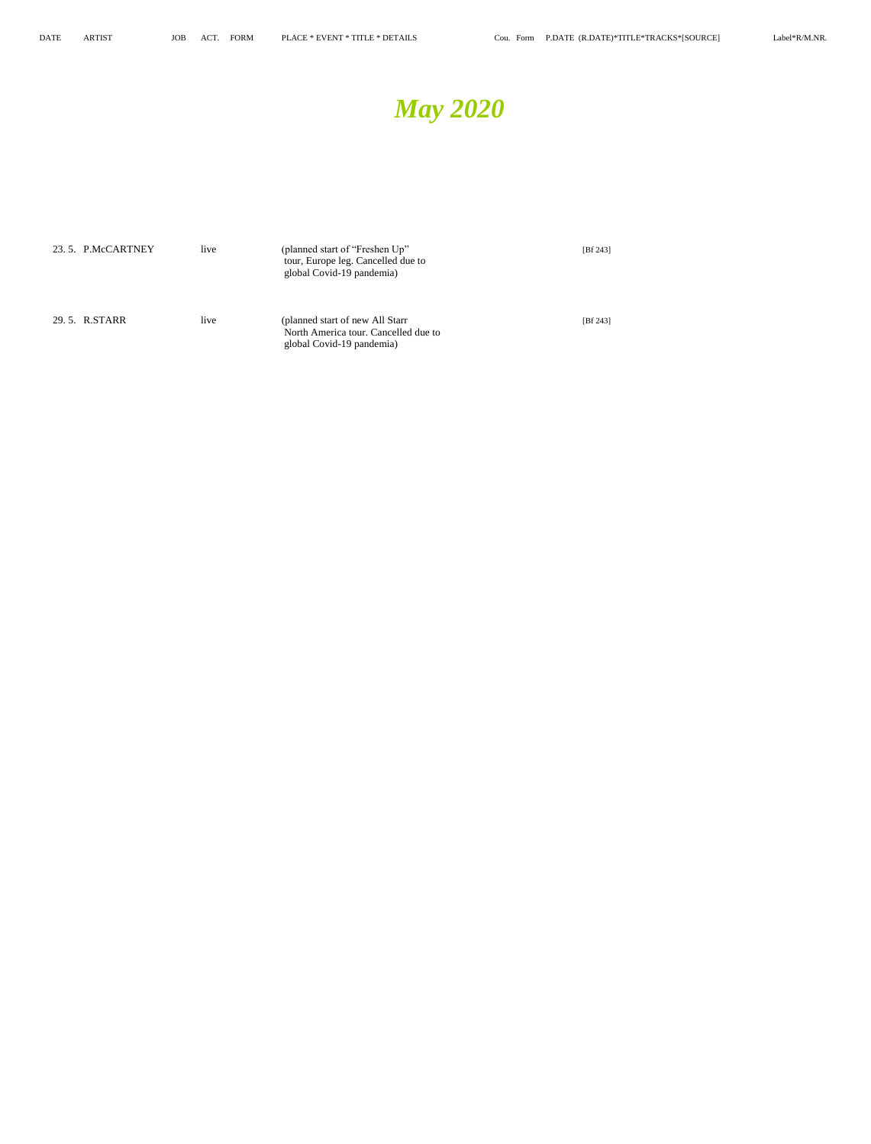

| 23.5. P.McCARTNEY | live | (planned start of "Freshen Up"<br>tour, Europe leg. Cancelled due to<br>global Covid-19 pandemia)     | [Bf 243] |
|-------------------|------|-------------------------------------------------------------------------------------------------------|----------|
| 29.5. R.STARR     | live | (planned start of new All Starr)<br>North America tour. Cancelled due to<br>global Covid-19 pandemia) | [Bf 243] |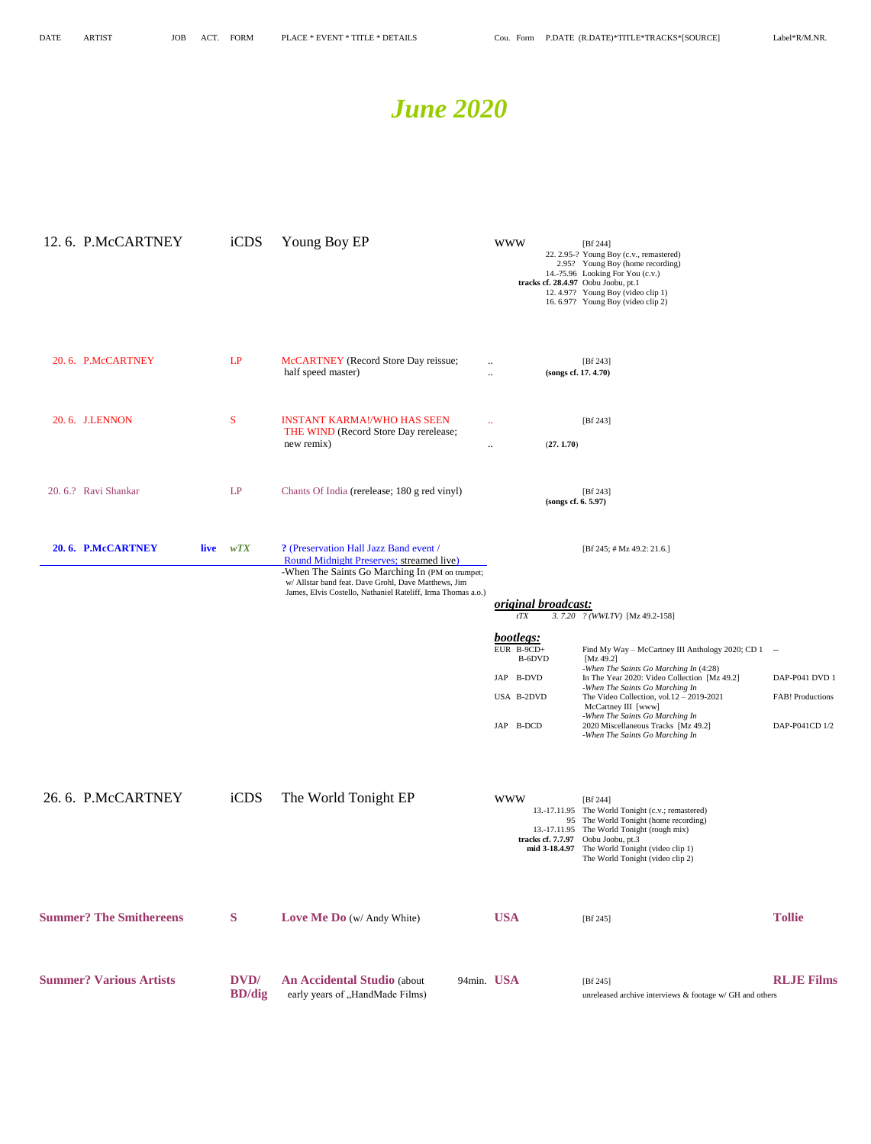## *June 2020*

| 12.6. P.McCARTNEY              |      | iCDS                   | Young Boy EP                                                                                                                                                                                                                                                  | <b>WWW</b>                                                                                                                        | [ $Bf 244$ ]<br>22. 2.95-? Young Boy (c.v., remastered)<br>2.95? Young Boy (home recording)<br>14.-?5.96 Looking For You (c.v.)<br>tracks cf. 28.4.97 Oobu Joobu, pt.1<br>12.4.97? Young Boy (video clip 1)<br>16.6.97? Young Boy (video clip 2)                                                                                                                                                                                                      |                                                      |
|--------------------------------|------|------------------------|---------------------------------------------------------------------------------------------------------------------------------------------------------------------------------------------------------------------------------------------------------------|-----------------------------------------------------------------------------------------------------------------------------------|-------------------------------------------------------------------------------------------------------------------------------------------------------------------------------------------------------------------------------------------------------------------------------------------------------------------------------------------------------------------------------------------------------------------------------------------------------|------------------------------------------------------|
| 20.6. P.McCARTNEY              |      | LP                     | McCARTNEY (Record Store Day reissue;<br>half speed master)                                                                                                                                                                                                    | $\ldots$<br>$\ddotsc$                                                                                                             | [Bf 243]<br>(songs cf. 17. 4.70)                                                                                                                                                                                                                                                                                                                                                                                                                      |                                                      |
| 20.6. J.LENNON                 |      | S                      | <b>INSTANT KARMA!/WHO HAS SEEN</b><br>THE WIND (Record Store Day rerelease;<br>new remix)                                                                                                                                                                     | $\mathbf{1}$<br>(27.1.70)<br>$\ddotsc$                                                                                            | [ $Bf 243$ ]                                                                                                                                                                                                                                                                                                                                                                                                                                          |                                                      |
| 20.6.? Ravi Shankar            |      | LP                     | Chants Of India (rerelease; 180 g red vinyl)                                                                                                                                                                                                                  | (songs cf. 6. 5.97)                                                                                                               | [ $Bf 243$ ]                                                                                                                                                                                                                                                                                                                                                                                                                                          |                                                      |
| 20.6. P.McCARTNEY              | live | wTX                    | ? (Preservation Hall Jazz Band event /<br>Round Midnight Preserves; streamed live)<br>-When The Saints Go Marching In (PM on trumpet;<br>w/ Allstar band feat. Dave Grohl, Dave Matthews, Jim<br>James, Elvis Costello, Nathaniel Rateliff, Irma Thomas a.o.) | <i><u>original broadcast:</u></i><br>tTX<br>bootlegs:<br>EUR $B-9CD+$<br>B-6DVD<br>JAP B-DVD<br>USA B-2DVD<br><b>B-DCD</b><br>JAP | [Bf 245; # Mz 49.2: 21.6.]<br>3.7.20 ? (WWLTV) [Mz 49.2-158]<br>Find My Way - McCartney III Anthology 2020; CD 1 --<br>[ $Mz$ 49.2]<br>-When The Saints Go Marching In (4:28)<br>In The Year 2020: Video Collection [Mz 49.2]<br>-When The Saints Go Marching In<br>The Video Collection, vol. $12 - 2019 - 2021$<br>McCartney III [www]<br>-When The Saints Go Marching In<br>2020 Miscellaneous Tracks [Mz 49.2]<br>-When The Saints Go Marching In | DAP-P041 DVD 1<br>FAB! Productions<br>DAP-P041CD 1/2 |
| 26.6. P.McCARTNEY              |      | iCDS                   | The World Tonight EP                                                                                                                                                                                                                                          | <b>WWW</b>                                                                                                                        | [ $Bf 244$ ]<br>13.-17.11.95 The World Tonight (c.v.; remastered)<br>95 The World Tonight (home recording)<br>13.-17.11.95 The World Tonight (rough mix)<br>tracks cf. 7.7.97 Oobu Joobu, pt.3<br>mid 3-18.4.97 The World Tonight (video clip 1)<br>The World Tonight (video clip 2)                                                                                                                                                                  |                                                      |
| <b>Summer? The Smithereens</b> |      | S                      | Love Me Do (w/ Andy White)                                                                                                                                                                                                                                    | <b>USA</b>                                                                                                                        | [Bf 245]                                                                                                                                                                                                                                                                                                                                                                                                                                              | <b>Tollie</b>                                        |
| <b>Summer? Various Artists</b> |      | DVD/<br><b>BD</b> /dig | <b>An Accidental Studio (about</b><br>early years of "HandMade Films)                                                                                                                                                                                         | 94min. USA                                                                                                                        | [Bf 245]<br>unreleased archive interviews & footage w/ GH and others                                                                                                                                                                                                                                                                                                                                                                                  | <b>RLJE Films</b>                                    |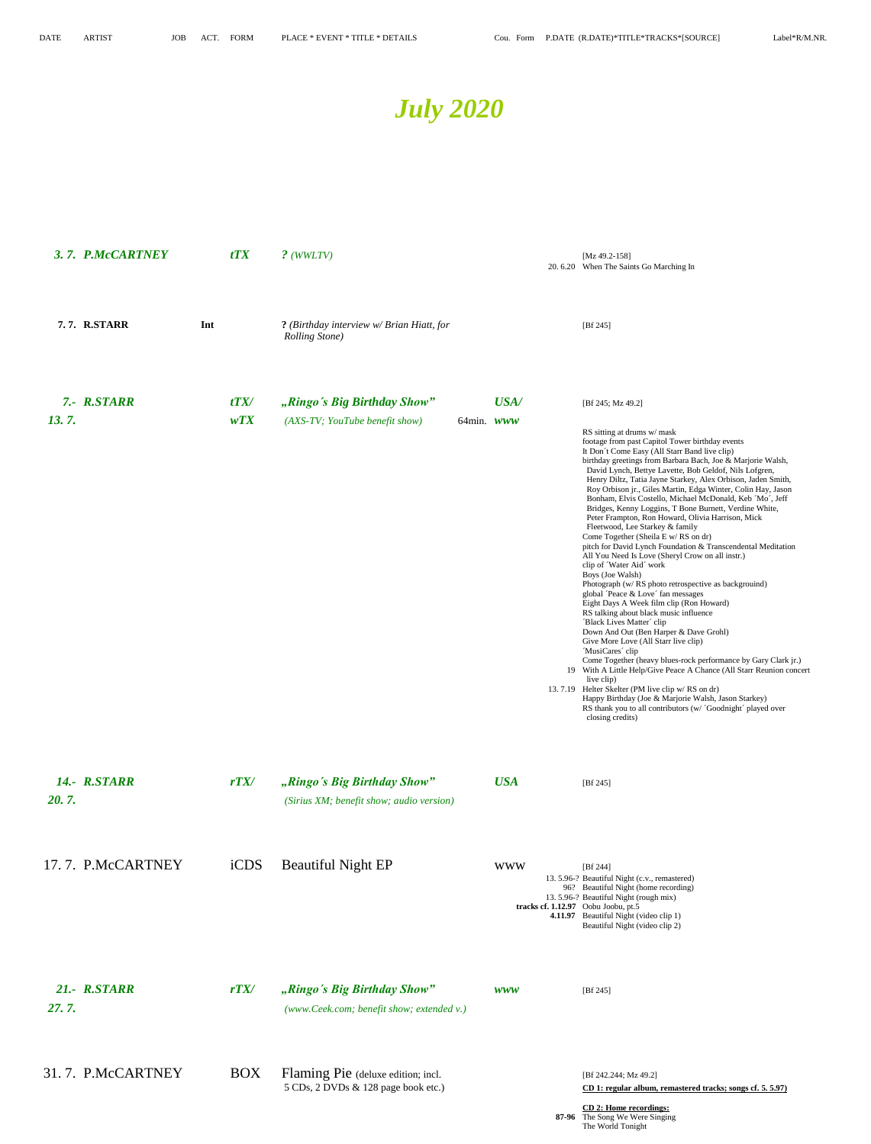

|       | 3.7. P.McCARTNEY    |     | tTX         | $?$ (WWLTV)                                                               |                      |            | [Mz 49.2-158]<br>20.6.20 When The Saints Go Marching In                                                                                                                                                                                                                                                                                                                                                                                                                                                                                                                                                                                                                                                                                                                                                                                                                                                                                                                                                                                                                                                                                                                                                                                                                                                                                                                                                                                                                                                                 |
|-------|---------------------|-----|-------------|---------------------------------------------------------------------------|----------------------|------------|-------------------------------------------------------------------------------------------------------------------------------------------------------------------------------------------------------------------------------------------------------------------------------------------------------------------------------------------------------------------------------------------------------------------------------------------------------------------------------------------------------------------------------------------------------------------------------------------------------------------------------------------------------------------------------------------------------------------------------------------------------------------------------------------------------------------------------------------------------------------------------------------------------------------------------------------------------------------------------------------------------------------------------------------------------------------------------------------------------------------------------------------------------------------------------------------------------------------------------------------------------------------------------------------------------------------------------------------------------------------------------------------------------------------------------------------------------------------------------------------------------------------------|
|       | 7.7. R.STARR        | Int |             | ? (Birthday interview w/ Brian Hiatt, for<br><b>Rolling Stone</b> )       |                      |            | [Bf 245]                                                                                                                                                                                                                                                                                                                                                                                                                                                                                                                                                                                                                                                                                                                                                                                                                                                                                                                                                                                                                                                                                                                                                                                                                                                                                                                                                                                                                                                                                                                |
| 13.7. | 7.- R.STARR         |     | tTX/<br>wTX | "Ringo's Big Birthday Show"<br>(AXS-TV; YouTube benefit show)             | 64 $min.$ <i>www</i> | USA/       | [Bf 245; Mz 49.2]<br>RS sitting at drums w/ mask<br>footage from past Capitol Tower birthday events<br>It Don't Come Easy (All Starr Band live clip)<br>birthday greetings from Barbara Bach, Joe & Marjorie Walsh,<br>David Lynch, Bettye Lavette, Bob Geldof, Nils Lofgren,<br>Henry Diltz, Tatia Jayne Starkey, Alex Orbison, Jaden Smith,<br>Roy Orbison jr., Giles Martin, Edga Winter, Colin Hay, Jason<br>Bonham, Elvis Costello, Michael McDonald, Keb 'Mo', Jeff<br>Bridges, Kenny Loggins, T Bone Burnett, Verdine White,<br>Peter Frampton, Ron Howard, Olivia Harrison, Mick<br>Fleetwood, Lee Starkey & family<br>Come Together (Sheila E w/ RS on dr)<br>pitch for David Lynch Foundation & Transcendental Meditation<br>All You Need Is Love (Sheryl Crow on all instr.)<br>clip of 'Water Aid' work<br>Boys (Joe Walsh)<br>Photograph (w/ RS photo retrospective as backgrouind)<br>global 'Peace & Love' fan messages<br>Eight Days A Week film clip (Ron Howard)<br>RS talking about black music influence<br>'Black Lives Matter' clip<br>Down And Out (Ben Harper & Dave Grohl)<br>Give More Love (All Starr live clip)<br>'MusiCares' clip<br>Come Together (heavy blues-rock performance by Gary Clark jr.)<br>19 With A Little Help/Give Peace A Chance (All Starr Reunion concert<br>live clip)<br>13.7.19 Helter Skelter (PM live clip w/RS on dr)<br>Happy Birthday (Joe & Marjorie Walsh, Jason Starkey)<br>RS thank you to all contributors (w/ 'Goodnight' played over<br>closing credits) |
| 20.7. | <b>14.- R.STARR</b> |     | rTX/        | "Ringo's Big Birthday Show"<br>(Sirius XM; benefit show; audio version)   |                      | <b>USA</b> | [ $Bf 245$ ]                                                                                                                                                                                                                                                                                                                                                                                                                                                                                                                                                                                                                                                                                                                                                                                                                                                                                                                                                                                                                                                                                                                                                                                                                                                                                                                                                                                                                                                                                                            |
|       | 17.7. P.McCARTNEY   |     | iCDS        | <b>Beautiful Night EP</b>                                                 |                      | <b>WWW</b> | [ $Bf 244$ ]<br>13. 5.96-? Beautiful Night (c.v., remastered)<br>96? Beautiful Night (home recording)<br>13.5.96-? Beautiful Night (rough mix)<br>tracks cf. 1.12.97 Oobu Joobu, pt.5<br>4.11.97 Beautiful Night (video clip 1)<br>Beautiful Night (video clip 2)                                                                                                                                                                                                                                                                                                                                                                                                                                                                                                                                                                                                                                                                                                                                                                                                                                                                                                                                                                                                                                                                                                                                                                                                                                                       |
| 27.7. | 21.- R.STARR        |     | rTX/        | "Ringo's Big Birthday Show"<br>(www.Ceek.com; benefit show; extended v.)  |                      | <b>WWW</b> | [Bf $245$ ]                                                                                                                                                                                                                                                                                                                                                                                                                                                                                                                                                                                                                                                                                                                                                                                                                                                                                                                                                                                                                                                                                                                                                                                                                                                                                                                                                                                                                                                                                                             |
|       | 31.7. P.McCARTNEY   |     | <b>BOX</b>  | Flaming Pie (deluxe edition; incl.<br>5 CDs, 2 DVDs & 128 page book etc.) |                      |            | [Bf 242.244; Mz 49.2]<br>CD 1: regular album, remastered tracks; songs cf. 5. 5.97)                                                                                                                                                                                                                                                                                                                                                                                                                                                                                                                                                                                                                                                                                                                                                                                                                                                                                                                                                                                                                                                                                                                                                                                                                                                                                                                                                                                                                                     |

**CD 2: Home recordings: 87-96** The Song We Were Singing The World Tonight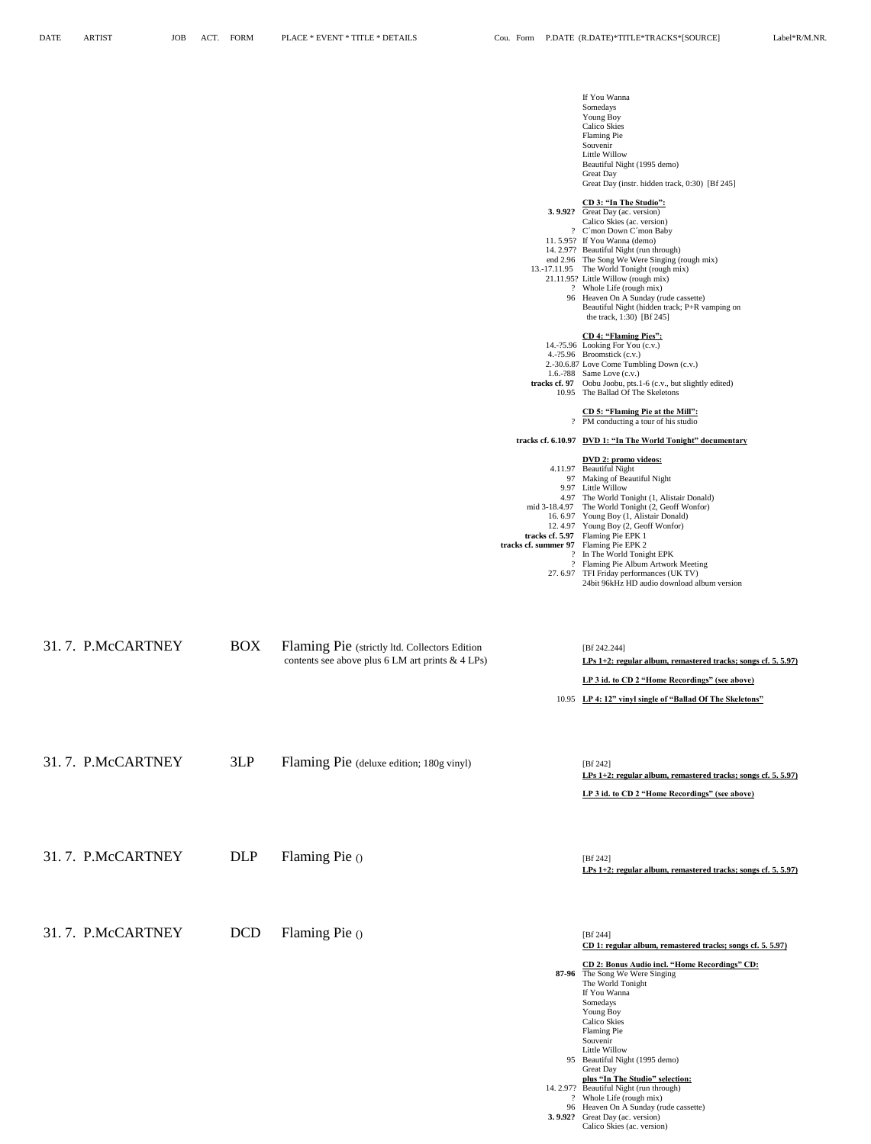**3. 9.92?** Great Day (ac. version)

Calico Skies (ac. version)

|                   |            |                                                                                                   |                                        | If You Wanna<br>Somedays<br>Young Boy<br>Calico Skies<br>Flaming Pie                                                                                                                                          |
|-------------------|------------|---------------------------------------------------------------------------------------------------|----------------------------------------|---------------------------------------------------------------------------------------------------------------------------------------------------------------------------------------------------------------|
|                   |            |                                                                                                   |                                        | Souvenir<br>Little Willow<br>Beautiful Night (1995 demo)<br><b>Great Day</b><br>Great Day (instr. hidden track, 0:30) [Bf 245]                                                                                |
|                   |            |                                                                                                   |                                        | CD 3: "In The Studio":<br>3.9.92? Great Day (ac. version)<br>Calico Skies (ac. version)<br>? C'mon Down C'mon Baby                                                                                            |
|                   |            |                                                                                                   |                                        | 11.5.95? If You Wanna (demo)<br>14. 2.97? Beautiful Night (run through)<br>end 2.96 The Song We Were Singing (rough mix)<br>13.-17.11.95 The World Tonight (rough mix)<br>21.11.95? Little Willow (rough mix) |
|                   |            |                                                                                                   |                                        | ? Whole Life (rough mix)<br>96 Heaven On A Sunday (rude cassette)<br>Beautiful Night (hidden track; P+R vamping on<br>the track, 1:30) [Bf 245]                                                               |
|                   |            |                                                                                                   |                                        | <b>CD 4: "Flaming Pies":</b><br>14.-?5.96 Looking For You (c.v.)<br>4.-?5.96 Broomstick (c.v.)<br>2.-30.6.87 Love Come Tumbling Down (c.v.)<br>1.6.-?88 Same Love (c.v.)                                      |
|                   |            |                                                                                                   |                                        | tracks cf. 97 Oobu Joobu, pts.1-6 (c.v., but slightly edited)<br>10.95 The Ballad Of The Skeletons<br>CD 5: "Flaming Pie at the Mill":                                                                        |
|                   |            |                                                                                                   |                                        | ? PM conducting a tour of his studio<br>tracks cf. 6.10.97 DVD 1: "In The World Tonight" documentary                                                                                                          |
|                   |            |                                                                                                   |                                        | DVD 2: promo videos:<br>4.11.97 Beautiful Night<br>97 Making of Beautiful Night                                                                                                                               |
|                   |            |                                                                                                   |                                        | 9.97 Little Willow<br>4.97 The World Tonight (1, Alistair Donald)<br>mid 3-18.4.97 The World Tonight (2, Geoff Wonfor)<br>16.6.97 Young Boy (1, Alistair Donald)<br>12.4.97 Young Boy (2, Geoff Wonfor)       |
|                   |            |                                                                                                   | tracks cf. summer 97 Flaming Pie EPK 2 | tracks cf. 5.97 Flaming Pie EPK 1<br>? In The World Tonight EPK<br>? Flaming Pie Album Artwork Meeting<br>27.6.97 TFI Friday performances (UK TV)<br>24bit 96kHz HD audio download album version              |
| 31.7. P.McCARTNEY | <b>BOX</b> | Flaming Pie (strictly ltd. Collectors Edition<br>contents see above plus 6 LM art prints & 4 LPs) |                                        | [Bf 242.244]<br>LPs $1+2$ : regular album, remastered tracks; songs cf. 5. 5.97)                                                                                                                              |
|                   |            |                                                                                                   |                                        | LP 3 id. to CD 2 "Home Recordings" (see above)                                                                                                                                                                |
|                   |            |                                                                                                   |                                        | 10.95 LP 4: 12" vinyl single of "Ballad Of The Skeletons"                                                                                                                                                     |
| 31.7. P.McCARTNEY | 3LP        | Flaming Pie (deluxe edition; 180g vinyl)                                                          |                                        | [ $Bf 242$ ]<br>LPs 1+2: regular album, remastered tracks; songs cf. 5. 5.97)                                                                                                                                 |
|                   |            |                                                                                                   |                                        | LP 3 id. to CD 2 "Home Recordings" (see above)                                                                                                                                                                |
| 31.7. P.McCARTNEY | <b>DLP</b> | Flaming Pie ()                                                                                    |                                        | [Bf 242]<br>LPs 1+2: regular album, remastered tracks; songs cf. 5. 5.97)                                                                                                                                     |
| 31.7. P.McCARTNEY | <b>DCD</b> | Flaming Pie ()                                                                                    |                                        | [Bf 244]<br>CD 1: regular album, remastered tracks; songs cf. 5. 5.97)                                                                                                                                        |
|                   |            |                                                                                                   |                                        | CD 2: Bonus Audio incl. "Home Recordings" CD:<br>87-96 The Song We Were Singing<br>The World Tonight<br>If You Wanna                                                                                          |
|                   |            |                                                                                                   |                                        | Somedays<br>Young Boy<br>Calico Skies<br>Flaming Pie                                                                                                                                                          |
|                   |            |                                                                                                   |                                        | Souvenir<br>Little Willow<br>95 Beautiful Night (1995 demo)<br><b>Great Day</b>                                                                                                                               |
|                   |            |                                                                                                   |                                        | plus "In The Studio" selection:<br>14. 2.97? Beautiful Night (run through)<br>? Whole Life (rough mix)<br>96 Heaven On A Sunday (rude cassette)                                                               |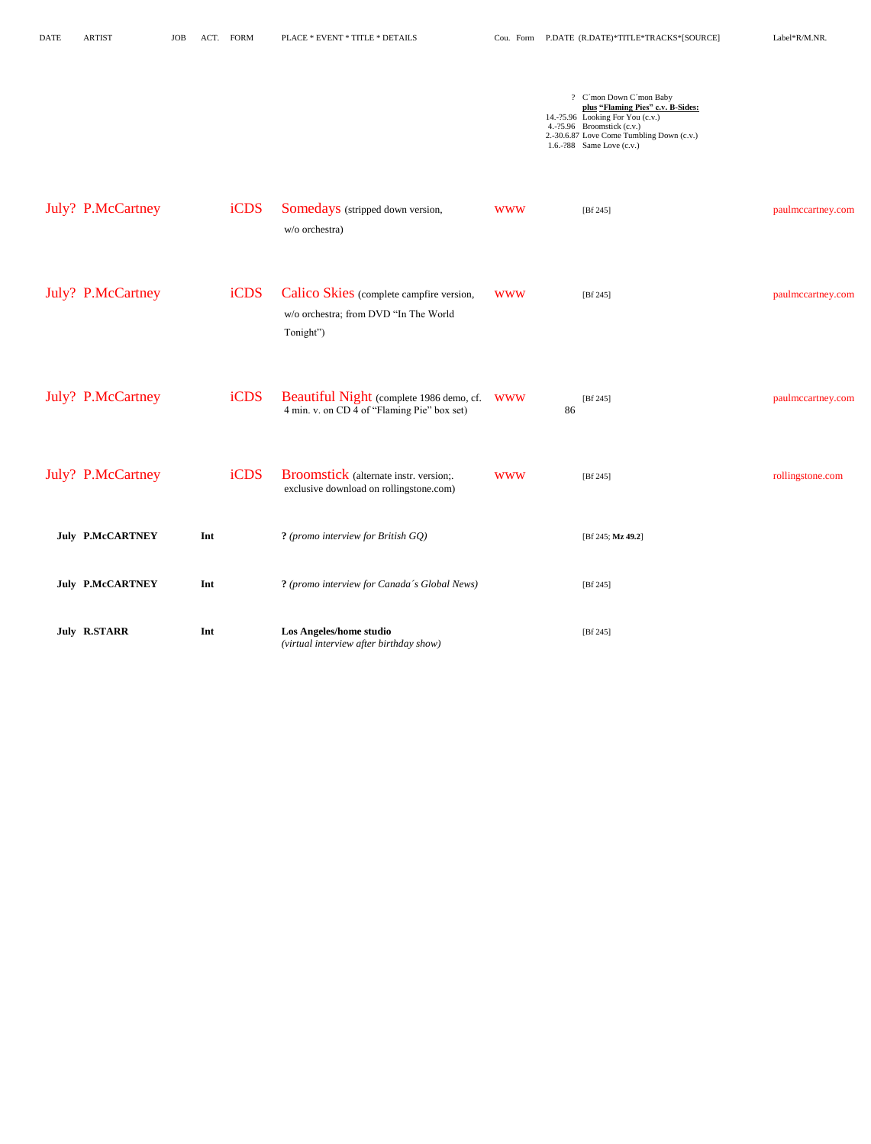| <b>DATE</b> | <b>ARTIST</b> |
|-------------|---------------|
|             |               |

? C´mon Down C´mon Baby **plus "Flaming Pies" c.v. B-Sides:** 14.-?5.96 Looking For You (c.v.) 4.-?5.96 Broomstick (c.v.) 2.-30.6.87 Love Come Tumbling Down (c.v.) 1.6.-?88 Same Love (c.v.)

| <b>July? P.McCartney</b> | iCDS        | <b>Somedays</b> (stripped down version,<br>w/o orchestra)                                      | <b>WWW</b> | [ $Bf 245$ ]      | paulmccartney.com |
|--------------------------|-------------|------------------------------------------------------------------------------------------------|------------|-------------------|-------------------|
| July? P.McCartney        | <i>iCDS</i> | Calico Skies (complete campfire version,<br>w/o orchestra; from DVD "In The World<br>Tonight") | <b>WWW</b> | [ $Bf 245$ ]      | paulmccartney.com |
| July? P.McCartney        | iCDS        | Beautiful Night (complete 1986 demo, cf. WWW<br>4 min. v. on CD 4 of "Flaming Pie" box set)    | 86         | [ $Bf 245$ ]      | paulmccartney.com |
| July? P.McCartney        | iCDS        | <b>Broomstick</b> (alternate instr. version;.<br>exclusive download on rollingstone.com)       | <b>WWW</b> | [ $Bf 245$ ]      | rollingstone.com  |
| <b>July P.McCARTNEY</b>  | Int         | ? (promo interview for British GQ)                                                             |            | [Bf 245; Mz 49.2] |                   |
| <b>July P.McCARTNEY</b>  | Int         | ? (promo interview for Canada's Global News)                                                   |            | [ $Bf 245$ ]      |                   |
| <b>July R.STARR</b>      | Int         | Los Angeles/home studio<br>(virtual interview after birthday show)                             |            | [ $Bf 245$ ]      |                   |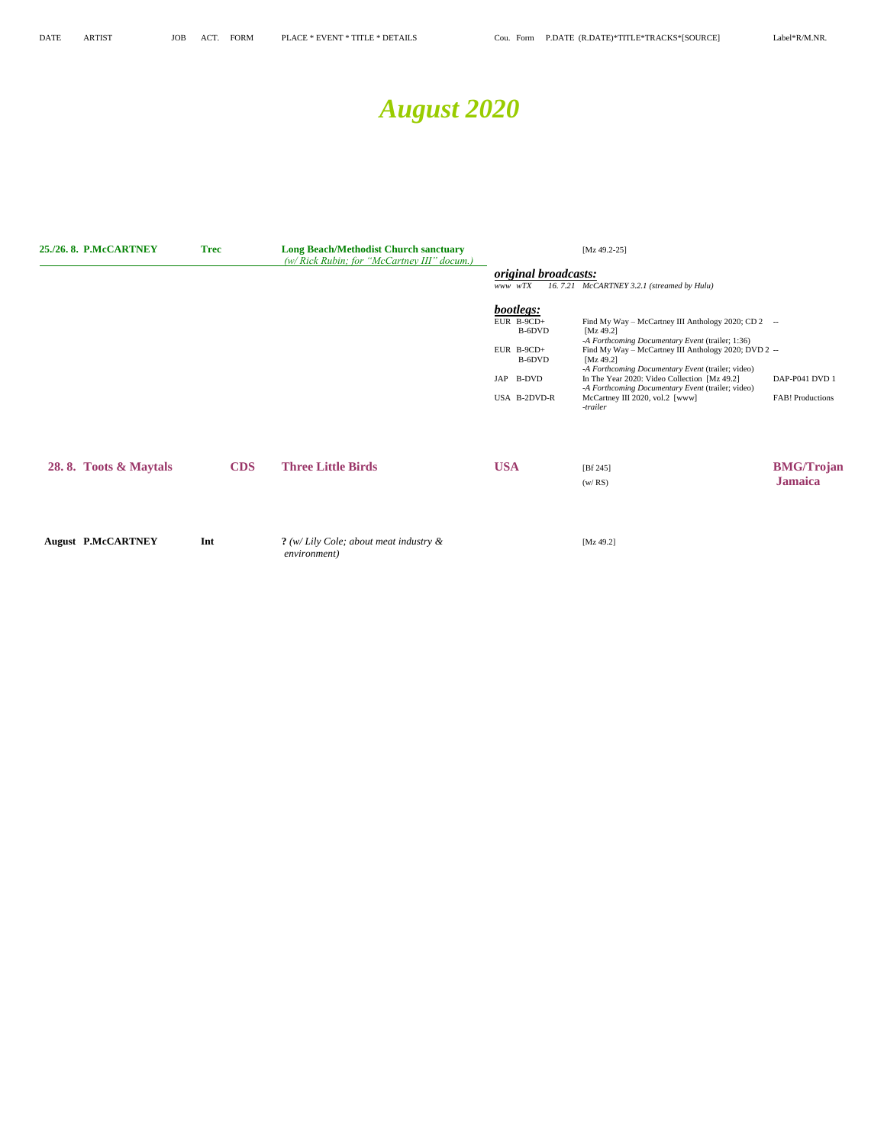# *August 2020*

| 25./26.8. P.McCARTNEY     | <b>Trec</b> | <b>Long Beach/Methodist Church sanctuary</b><br>(w/ Rick Rubin; for "McCartney III" docum.) |                                                               | $[Mz 49.2-25]$                                                                                                                                                                                                                                |                                           |
|---------------------------|-------------|---------------------------------------------------------------------------------------------|---------------------------------------------------------------|-----------------------------------------------------------------------------------------------------------------------------------------------------------------------------------------------------------------------------------------------|-------------------------------------------|
|                           |             |                                                                                             | <i>original broadcasts:</i><br>www wTX                        | 16.7.21 McCARTNEY 3.2.1 (streamed by Hulu)                                                                                                                                                                                                    |                                           |
|                           |             |                                                                                             | bootlegs:<br>EUR $B-9CD+$<br>B-6DVD<br>EUR $B-9CD+$<br>B-6DVD | Find My Way – McCartney III Anthology 2020; CD 2 –<br>[Mz 49.2]<br>-A Forthcoming Documentary Event (trailer; 1:36)<br>Find My Way – McCartney III Anthology 2020; DVD 2 --<br>[Mz 49.2]<br>-A Forthcoming Documentary Event (trailer; video) |                                           |
|                           |             |                                                                                             | JAP B-DVD<br>USA B-2DVD-R                                     | In The Year 2020: Video Collection [Mz 49.2]<br>-A Forthcoming Documentary Event (trailer; video)<br>McCartney III 2020, vol.2 [www]<br>-trailer                                                                                              | DAP-P041 DVD 1<br><b>FAB!</b> Productions |
| 28.8. Toots & Maytals     | <b>CDS</b>  | <b>Three Little Birds</b>                                                                   | <b>USA</b>                                                    | [Bf 245]<br>(w/RS)                                                                                                                                                                                                                            | <b>BMG/Trojan</b><br><b>Jamaica</b>       |
| <b>August P.McCARTNEY</b> | Int         | $?$ (w/ Lily Cole; about meat industry $\&$<br><i>environment</i> )                         |                                                               | [ $Mz$ 49.2]                                                                                                                                                                                                                                  |                                           |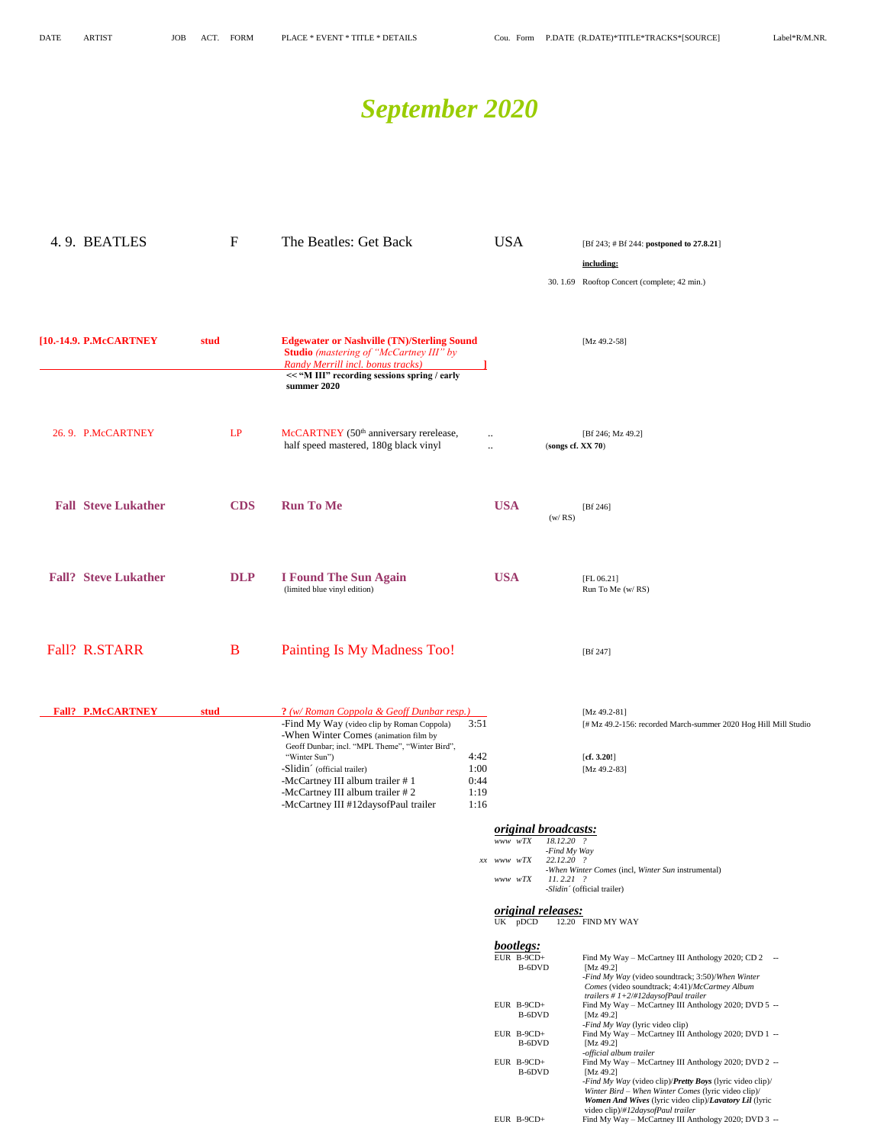# *September 2020*

| 4.9. BEATLES                |      | $\mathbf F$ | The Beatles: Get Back                                                                                                                                 |                                   | <b>USA</b> |                                    |                                           | [Bf 243; # Bf 244: postponed to 27.8.21]                                                                                                                                                |
|-----------------------------|------|-------------|-------------------------------------------------------------------------------------------------------------------------------------------------------|-----------------------------------|------------|------------------------------------|-------------------------------------------|-----------------------------------------------------------------------------------------------------------------------------------------------------------------------------------------|
|                             |      |             |                                                                                                                                                       |                                   |            |                                    |                                           | including:                                                                                                                                                                              |
|                             |      |             |                                                                                                                                                       |                                   |            |                                    |                                           | 30.1.69 Rooftop Concert (complete; 42 min.)                                                                                                                                             |
|                             |      |             |                                                                                                                                                       |                                   |            |                                    |                                           |                                                                                                                                                                                         |
| [10.-14.9. P.McCARTNEY      | stud |             | <b>Edgewater or Nashville (TN)/Sterling Sound</b><br><b>Studio</b> (mastering of "McCartney III" by<br>Randy Merrill incl. bonus tracks)              |                                   |            |                                    |                                           | [Mz 49.2-58]                                                                                                                                                                            |
|                             |      |             | << "M III" recording sessions spring / early<br>summer 2020                                                                                           |                                   |            |                                    |                                           |                                                                                                                                                                                         |
| 26.9. P.McCARTNEY           |      | LP          | McCARTNEY (50 <sup>th</sup> anniversary rerelease,<br>half speed mastered, 180g black vinyl                                                           | $\ddotsc$<br>$\ddot{\phantom{a}}$ |            |                                    | (songs cf. XX 70)                         | [Bf 246; Mz 49.2]                                                                                                                                                                       |
|                             |      |             |                                                                                                                                                       |                                   |            |                                    |                                           |                                                                                                                                                                                         |
| <b>Fall Steve Lukather</b>  |      | <b>CDS</b>  | <b>Run To Me</b>                                                                                                                                      |                                   | <b>USA</b> |                                    | (w / RS)                                  | [Bf 246]                                                                                                                                                                                |
| <b>Fall? Steve Lukather</b> |      | <b>DLP</b>  | <b>I Found The Sun Again</b>                                                                                                                          |                                   | <b>USA</b> |                                    |                                           |                                                                                                                                                                                         |
|                             |      |             | (limited blue vinyl edition)                                                                                                                          |                                   |            |                                    |                                           | [FL 06.21]<br>Run To Me (w/RS)                                                                                                                                                          |
| <b>Fall? R.STARR</b>        |      | B           | Painting Is My Madness Too!                                                                                                                           |                                   |            |                                    |                                           | [ $Bf 247$ ]                                                                                                                                                                            |
|                             |      |             |                                                                                                                                                       |                                   |            |                                    |                                           |                                                                                                                                                                                         |
| <b>Fall? P.McCARTNEY</b>    | stud |             | ? (w/ Roman Coppola & Geoff Dunbar resp.)<br>-Find My Way (video clip by Roman Coppola)                                                               | 3:51                              |            |                                    |                                           | [ $Mz$ 49.2-81]<br>[# Mz 49.2-156: recorded March-summer 2020 Hog Hill Mill Studio                                                                                                      |
|                             |      |             | -When Winter Comes (animation film by<br>Geoff Dunbar; incl. "MPL Theme", "Winter Bird",<br>"Winter Sun")                                             | 4:42                              |            |                                    |                                           | [cf. 3.20!]                                                                                                                                                                             |
|                             |      |             | -Slidin <sup>c</sup> (official trailer)<br>-McCartney III album trailer #1<br>-McCartney III album trailer #2<br>-McCartney III #12daysofPaul trailer | 1:00<br>0:44<br>1:19<br>1:16      |            |                                    |                                           | [Mz 49.2-83]                                                                                                                                                                            |
|                             |      |             |                                                                                                                                                       |                                   | www wTX    |                                    | <i>original broadcasts:</i><br>18.12.20 ? |                                                                                                                                                                                         |
|                             |      |             |                                                                                                                                                       |                                   | xx www wTX |                                    | -Find My Way<br>22.12.20 ?                |                                                                                                                                                                                         |
|                             |      |             |                                                                                                                                                       |                                   | www wTX    |                                    | $11.2.21$ ?                               | -When Winter Comes (incl, Winter Sun instrumental)<br>-Slidin' (official trailer)                                                                                                       |
|                             |      |             |                                                                                                                                                       |                                   |            | UK pDCD                            | <i>original releases:</i>                 | 12.20 FIND MY WAY                                                                                                                                                                       |
|                             |      |             |                                                                                                                                                       |                                   |            | bootlegs:<br>EUR B-9CD+            |                                           | Find My Way - McCartney III Anthology 2020; CD 2 --                                                                                                                                     |
|                             |      |             |                                                                                                                                                       |                                   |            | B-6DVD                             |                                           | [Mz 49.2]<br>-Find My Way (video soundtrack; 3:50)/When Winter<br>Comes (video soundtrack; 4:41)/McCartney Album                                                                        |
|                             |      |             |                                                                                                                                                       |                                   |            | EUR B-9CD+<br>B-6DVD               |                                           | trailers #1+2/#12daysofPaul trailer<br>Find My Way - McCartney III Anthology 2020; DVD 5 --<br>[Mz 49.2]<br>-Find My Way (lyric video clip)                                             |
|                             |      |             |                                                                                                                                                       |                                   |            | EUR B-9CD+<br>B-6DVD<br>EUR B-9CD+ |                                           | Find My Way - McCartney III Anthology 2020; DVD 1 --<br>[Mz 49.2]<br>-official album trailer<br>Find My Way - McCartney III Anthology 2020; DVD 2 --                                    |
|                             |      |             |                                                                                                                                                       |                                   |            | B-6DVD                             |                                           | [Mz 49.2]<br>-Find My Way (video clip)/Pretty Boys (lyric video clip)/<br>Winter Bird – When Winter Comes (lyric video clip)/<br>Women And Wives (lyric video clip)/Lavatory Lil (lyric |
|                             |      |             |                                                                                                                                                       |                                   |            | EUR B-9CD+                         |                                           | video clip)/#12daysofPaul trailer<br>Find My Way - McCartney III Anthology 2020; DVD 3 --                                                                                               |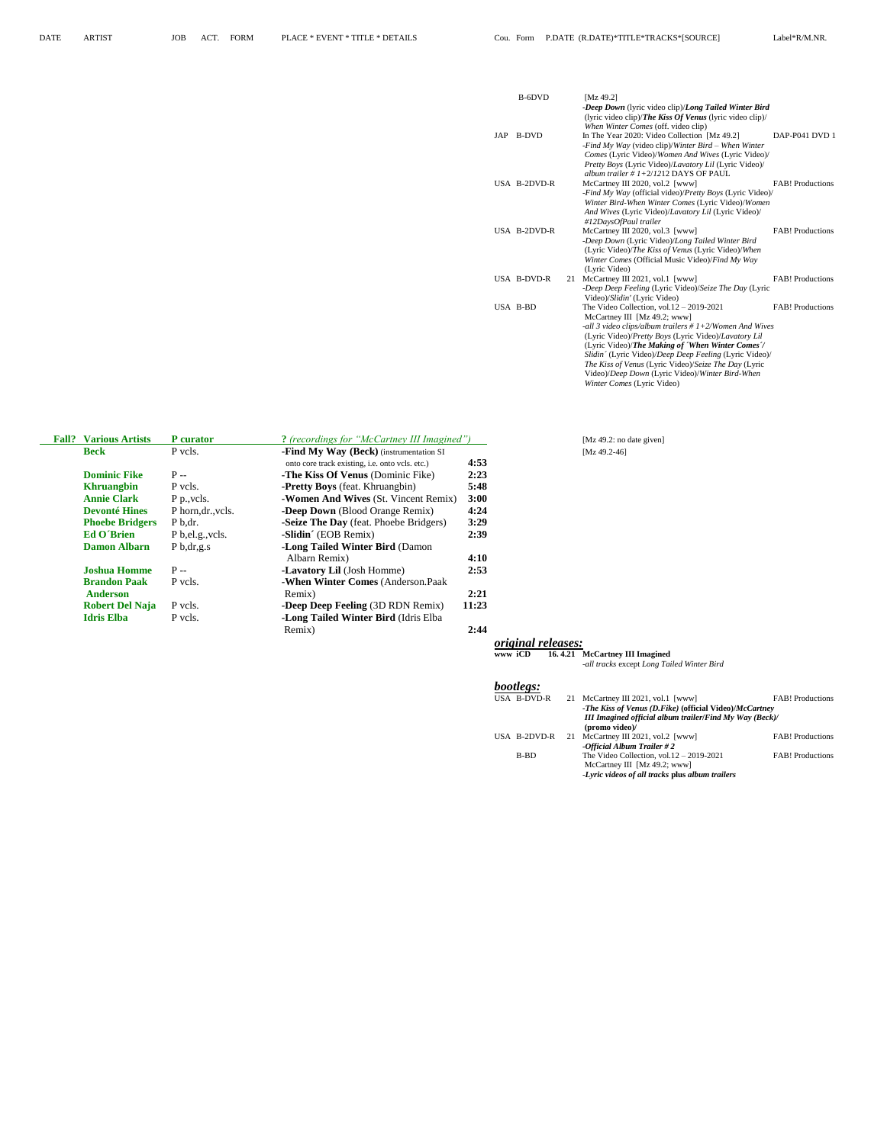|     | B-6DVD       |    | [Mz 49.2]                                                                                                                                                                                                                                                                                                                                                                                                                                                  |                         |
|-----|--------------|----|------------------------------------------------------------------------------------------------------------------------------------------------------------------------------------------------------------------------------------------------------------------------------------------------------------------------------------------------------------------------------------------------------------------------------------------------------------|-------------------------|
|     |              |    | -Deep Down (lyric video clip)/Long Tailed Winter Bird<br>(lyric video clip)/ <i>The Kiss Of Venus</i> (lyric video clip)/<br>When Winter Comes (off. video clip)                                                                                                                                                                                                                                                                                           |                         |
| JAP | B-DVD        |    | In The Year 2020: Video Collection [Mz 49.2]<br>-Find My Way (video clip)/Winter Bird – When Winter<br>Comes (Lyric Video)/Women And Wives (Lyric Video)/<br>Pretty Boys (Lyric Video)/Lavatory Lil (Lyric Video)/                                                                                                                                                                                                                                         | DAP-P041 DVD 1          |
|     | USA B-2DVD-R |    | album trailer # $1+2/1212$ DAYS OF PAUL<br>McCartney III 2020, vol.2 [www]<br>-Find My Way (official video)/Pretty Boys (Lyric Video)/<br>Winter Bird-When Winter Comes (Lyric Video)/Women<br>And Wives (Lyric Video)/Lavatory Lil (Lyric Video)/<br>#12DaysOfPaul trailer                                                                                                                                                                                | <b>FAB!</b> Productions |
|     | USA B-2DVD-R |    | McCartney III 2020, vol.3 [www]<br>-Deep Down (Lyric Video)/Long Tailed Winter Bird<br>(Lyric Video)/The Kiss of Venus (Lyric Video)/When<br>Winter Comes (Official Music Video)/Find My Way<br>(Lyric Video)                                                                                                                                                                                                                                              | <b>FAB!</b> Productions |
|     | USA B-DVD-R  | 21 | McCartney III 2021, vol.1 [www]<br>-Deep Deep Feeling (Lyric Video)/Seize The Day (Lyric<br>Video)/Slidin' (Lyric Video)                                                                                                                                                                                                                                                                                                                                   | <b>FAB!</b> Productions |
|     | USA B-BD     |    | The Video Collection, vol. $12 - 2019 - 2021$<br>McCartney III [Mz 49.2; www]<br>-all 3 video clips/album trailers $# 1+2/W$ omen And Wives<br>(Lyric Video)/Pretty Boys (Lyric Video)/Lavatory Lil<br>(Lyric Video)/The Making of 'When Winter Comes'/<br>Slidin' (Lyric Video)/Deep Deep Feeling (Lyric Video)/<br>The Kiss of Venus (Lyric Video)/Seize The Day (Lyric<br>Video)/Deep Down (Lyric Video)/Winter Bird-When<br>Winter Comes (Lyric Video) | <b>FAB!</b> Productions |

| <b>Fall?</b>       | <b>Various Artists</b> | <b>P</b> curator   | ? (recordings for "McCartney III Imagined")            |       |                           | [Mz 49.2: no date given] |
|--------------------|------------------------|--------------------|--------------------------------------------------------|-------|---------------------------|--------------------------|
| <b>Beck</b>        |                        | P vcls.            | -Find My Way (Beck) (instrumentation SI                |       |                           | $[Mz 49.2-46]$           |
|                    |                        |                    | onto core track existing, <i>i.e.</i> onto vcls. etc.) | 4:53  |                           |                          |
|                    | <b>Dominic Fike</b>    | $P -$              | <b>-The Kiss Of Venus</b> (Dominic Fike)               | 2:23  |                           |                          |
| <b>Khruangbin</b>  |                        | P vcls.            | <b>-Pretty Boys</b> (feat. Khruangbin)                 | 5:48  |                           |                          |
| <b>Annie Clark</b> |                        | P p., vcls.        | -Women And Wives (St. Vincent Remix)                   | 3:00  |                           |                          |
|                    | <b>Devonté Hines</b>   | P horn, dr., vcls. | -Deep Down (Blood Orange Remix)                        | 4:24  |                           |                          |
|                    | <b>Phoebe Bridgers</b> | P b.dr.            | -Seize The Day (feat. Phoebe Bridgers)                 | 3:29  |                           |                          |
| <b>Ed O'Brien</b>  |                        | P b, el.g., vcls.  | -Slidin' (EOB Remix)                                   | 2:39  |                           |                          |
|                    | <b>Damon Albarn</b>    | $P_{b,dr,g.s}$     | <b>-Long Tailed Winter Bird (Damon</b>                 |       |                           |                          |
|                    |                        |                    | Albarn Remix)                                          | 4:10  |                           |                          |
|                    | <b>Joshua Homme</b>    | $P -$              | <b>-Lavatory Lil</b> (Josh Homme)                      | 2:53  |                           |                          |
|                    | <b>Brandon Paak</b>    | P vcls.            | -When Winter Comes (Anderson.Paak)                     |       |                           |                          |
| <b>Anderson</b>    |                        |                    | Remix)                                                 | 2:21  |                           |                          |
|                    | <b>Robert Del Naja</b> | P vcls.            | -Deep Deep Feeling (3D RDN Remix)                      | 11:23 |                           |                          |
| <b>Idris Elba</b>  |                        | P vcls.            | -Long Tailed Winter Bird (Idris Elba                   |       |                           |                          |
|                    |                        |                    | Remix)                                                 | 2:44  |                           |                          |
|                    |                        |                    |                                                        |       | <i>original releases:</i> |                          |

#### **www iCD 16. 4.21 McCartney III Imagined** *-all tracks* except *Long Tailed Winter Bird*

#### *bootlegs:*

| USA B-DVD-R  | 21 | McCartney III 2021, vol.1 [www]                                                                                                  | <b>FAB!</b> Productions |
|--------------|----|----------------------------------------------------------------------------------------------------------------------------------|-------------------------|
|              |    | -The Kiss of Venus (D.Fike) (official Video)/McCartney                                                                           |                         |
|              |    | <b>III Imagined official album trailer/Find My Way (Beck)/</b><br>(promo video)/                                                 |                         |
| USA B-2DVD-R | 21 | McCartney III 2021, vol.2 [www]<br>-Official Album Trailer #2                                                                    | <b>FAB!</b> Productions |
| B-BD         |    | The Video Collection, vol. $12 - 2019 - 2021$<br>McCartney III [Mz 49.2; www]<br>-Lyric videos of all tracks plus album trailers | <b>FAB!</b> Productions |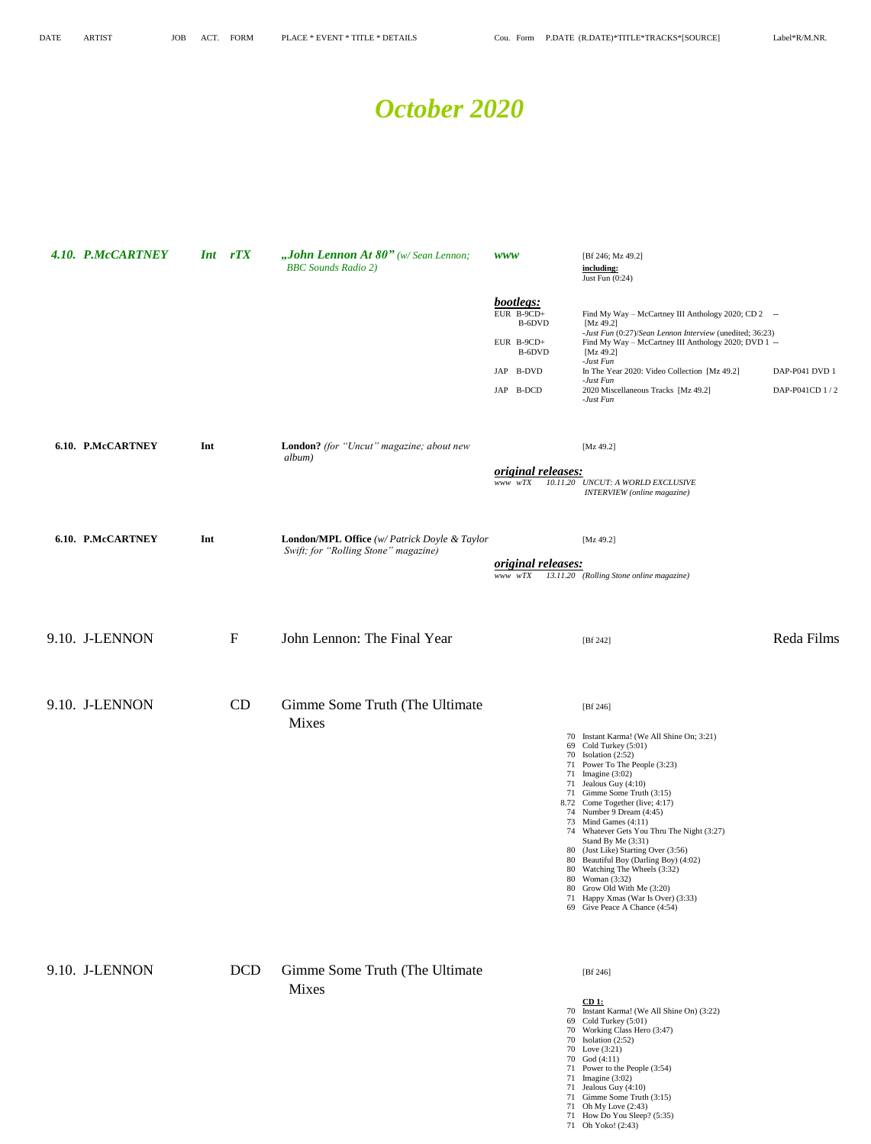71 Oh My Love (2:43) 71 How Do You Sleep? (5:35) 71 Oh Yoko! (2:43)

#### *October 2020*

| 4.10. P.McCARTNEY        |     | Int rTX      | "John Lennon At $80"$ (w/Sean Lennon;<br><b>BBC</b> Sounds Radio 2)                         | <b>WWW</b><br>bootlegs:                      | [Bf 246; Mz 49.2]<br>including:<br>Just Fun (0:24)                                                                                                                                                                                                                                                                                                                                                                                                                                                                                                                                                         |                                  |
|--------------------------|-----|--------------|---------------------------------------------------------------------------------------------|----------------------------------------------|------------------------------------------------------------------------------------------------------------------------------------------------------------------------------------------------------------------------------------------------------------------------------------------------------------------------------------------------------------------------------------------------------------------------------------------------------------------------------------------------------------------------------------------------------------------------------------------------------------|----------------------------------|
|                          |     |              |                                                                                             | EUR B-9CD+<br>B-6DVD<br>EUR B-9CD+<br>B-6DVD | Find My Way - McCartney III Anthology 2020; CD 2 --<br>[Mz 49.2]<br>-Just Fun (0:27)/Sean Lennon Interview (unedited; 36:23)<br>Find My Way - McCartney III Anthology 2020; DVD 1 --<br>[Mz 49.2]                                                                                                                                                                                                                                                                                                                                                                                                          |                                  |
|                          |     |              |                                                                                             | JAP B-DVD<br>JAP B-DCD                       | -Just Fun<br>In The Year 2020: Video Collection [Mz 49.2]<br>-Just Fun<br>2020 Miscellaneous Tracks [Mz 49.2]<br>-Just Fun                                                                                                                                                                                                                                                                                                                                                                                                                                                                                 | DAP-P041 DVD 1<br>DAP-P041CD 1/2 |
| 6.10. P.McCARTNEY        | Int |              | London? (for "Uncut" magazine; about new<br>album)                                          | original releases:<br>www wTX                | [ $Mz$ 49.2]<br>10.11.20 UNCUT: A WORLD EXCLUSIVE<br>INTERVIEW (online magazine)                                                                                                                                                                                                                                                                                                                                                                                                                                                                                                                           |                                  |
| <b>6.10. P.McCARTNEY</b> | Int |              | <b>London/MPL Office</b> (w/ Patrick Doyle & Taylor<br>Swift; for "Rolling Stone" magazine) | <i>original releases:</i>                    | [ $Mz$ 49.2]                                                                                                                                                                                                                                                                                                                                                                                                                                                                                                                                                                                               |                                  |
|                          |     |              |                                                                                             | www wTX                                      | 13.11.20 (Rolling Stone online magazine)                                                                                                                                                                                                                                                                                                                                                                                                                                                                                                                                                                   |                                  |
| 9.10. J-LENNON           |     | $\mathbf{F}$ | John Lennon: The Final Year                                                                 |                                              | [Bf 242]                                                                                                                                                                                                                                                                                                                                                                                                                                                                                                                                                                                                   | Reda Films                       |
| 9.10. J-LENNON           |     | CD           | Gimme Some Truth (The Ultimate<br><b>Mixes</b>                                              |                                              | [ $Bf 246$ ]                                                                                                                                                                                                                                                                                                                                                                                                                                                                                                                                                                                               |                                  |
|                          |     |              |                                                                                             |                                              | 70 Instant Karma! (We All Shine On; 3:21)<br>69 Cold Turkey (5:01)<br>70 Isolation (2:52)<br>71 Power To The People (3:23)<br>71 Imagine (3:02)<br>71 Jealous Guy (4:10)<br>71 Gimme Some Truth (3:15)<br>8.72 Come Together (live; 4:17)<br>74 Number 9 Dream (4:45)<br>73 Mind Games (4:11)<br>74 Whatever Gets You Thru The Night (3:27)<br>Stand By Me (3:31)<br>80 (Just Like) Starting Over (3:56)<br>80 Beautiful Boy (Darling Boy) (4:02)<br>80 Watching The Wheels (3:32)<br>80 Woman (3:32)<br>80 Grow Old With Me (3:20)<br>71 Happy Xmas (War Is Over) (3:33)<br>69 Give Peace A Chance (4:54) |                                  |
| 9.10. J-LENNON           |     | <b>DCD</b>   | Gimme Some Truth (The Ultimate<br>Mixes                                                     |                                              | [ $Bf 246$ ]<br>$CD1$ :<br>70 Instant Karma! (We All Shine On) (3:22)<br>69 Cold Turkey (5:01)                                                                                                                                                                                                                                                                                                                                                                                                                                                                                                             |                                  |
|                          |     |              |                                                                                             |                                              | 70 Working Class Hero (3:47)<br>70 Isolation $(2:52)$<br>70 Love (3:21)<br>70 God (4:11)<br>71 Power to the People (3:54)<br>71 Imagine (3:02)<br>71 Jealous Guy (4:10)<br>71 Gimme Some Truth (3:15)                                                                                                                                                                                                                                                                                                                                                                                                      |                                  |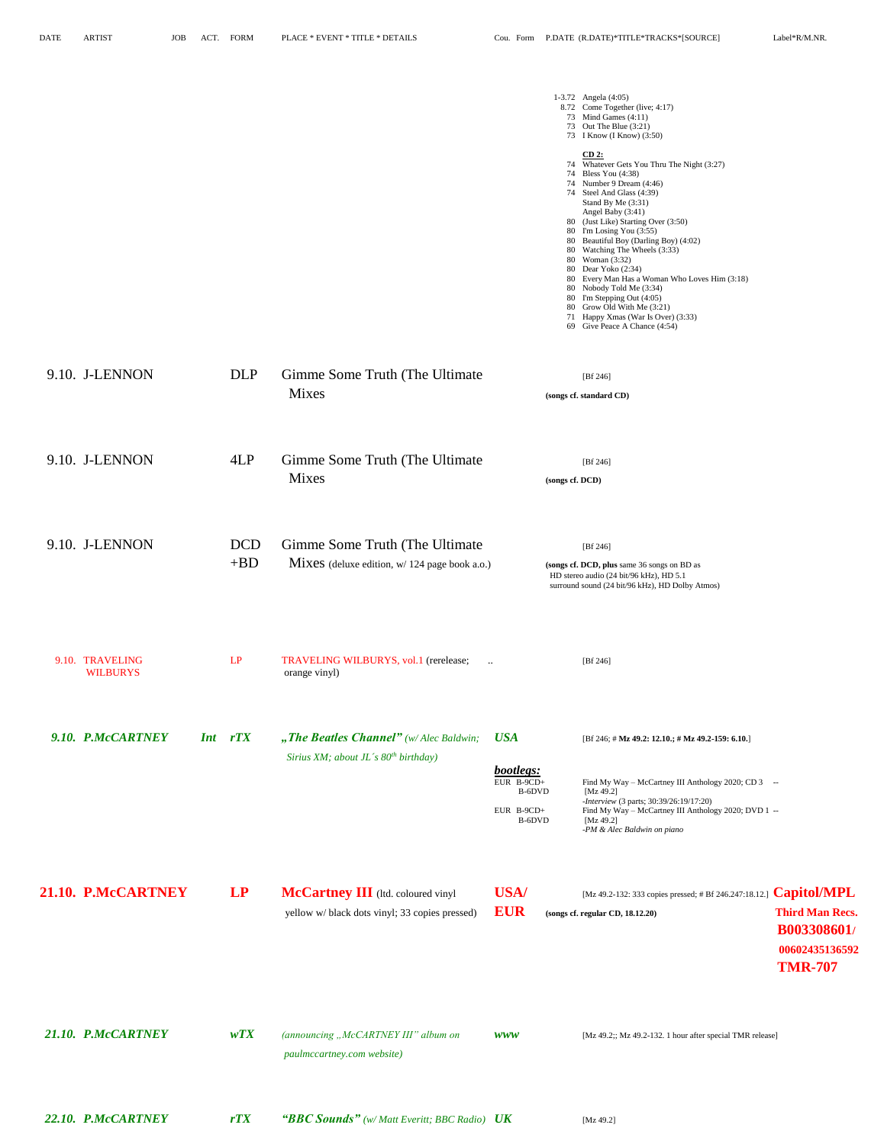|                                    |                     |                                                                                      |                                                                           | 1-3.72 Angela (4:05)<br>8.72 Come Together (live; 4:17)<br>73 Mind Games (4:11)<br>73 Out The Blue (3:21)<br>73 I Know (I Know) (3:50)<br>$CD2$ :<br>74 Whatever Gets You Thru The Night (3:27)<br>74 Bless You (4:38)<br>74 Number 9 Dream (4:46)<br>74 Steel And Glass (4:39)<br>Stand By Me (3:31)<br>Angel Baby (3:41)<br>80 (Just Like) Starting Over (3:50)<br>80 I'm Losing You (3:55)<br>80 Beautiful Boy (Darling Boy) (4:02)<br>80 Watching The Wheels (3:33)<br>80 Woman (3:32)<br>80 Dear Yoko (2:34)<br>80 Every Man Has a Woman Who Loves Him (3:18)<br>80 Nobody Told Me (3:34)<br>80 I'm Stepping Out (4:05)<br>80 Grow Old With Me (3:21)<br>71 Happy Xmas (War Is Over) (3:33)<br>69 Give Peace A Chance (4:54) |                                                                                                 |
|------------------------------------|---------------------|--------------------------------------------------------------------------------------|---------------------------------------------------------------------------|-----------------------------------------------------------------------------------------------------------------------------------------------------------------------------------------------------------------------------------------------------------------------------------------------------------------------------------------------------------------------------------------------------------------------------------------------------------------------------------------------------------------------------------------------------------------------------------------------------------------------------------------------------------------------------------------------------------------------------------|-------------------------------------------------------------------------------------------------|
| 9.10. J-LENNON                     | <b>DLP</b>          | Gimme Some Truth (The Ultimate<br><b>Mixes</b>                                       |                                                                           | [Bf 246]<br>(songs cf. standard CD)                                                                                                                                                                                                                                                                                                                                                                                                                                                                                                                                                                                                                                                                                               |                                                                                                 |
| 9.10. J-LENNON                     | 4LP                 | Gimme Some Truth (The Ultimate<br><b>Mixes</b>                                       | (songs cf. DCD)                                                           | [Bf 246]                                                                                                                                                                                                                                                                                                                                                                                                                                                                                                                                                                                                                                                                                                                          |                                                                                                 |
| 9.10. J-LENNON                     | <b>DCD</b><br>$+BD$ | Gimme Some Truth (The Ultimate<br>Mixes (deluxe edition, w/ 124 page book a.o.)      |                                                                           | [Bf 246]<br>(songs cf. DCD, plus same 36 songs on BD as<br>HD stereo audio (24 bit/96 kHz), HD 5.1<br>surround sound (24 bit/96 kHz), HD Dolby Atmos)                                                                                                                                                                                                                                                                                                                                                                                                                                                                                                                                                                             |                                                                                                 |
| 9.10. TRAVELING<br><b>WILBURYS</b> | LP                  | TRAVELING WILBURYS, vol.1 (rerelease;<br>$\ldots$<br>orange vinyl)                   |                                                                           | [Bf 246]                                                                                                                                                                                                                                                                                                                                                                                                                                                                                                                                                                                                                                                                                                                          |                                                                                                 |
| 9.10. P.McCARTNEY<br><b>Int</b>    | rTX                 | "The Beatles Channel" (w/Alec Baldwin;<br>Sirius XM; about JL's $80^{th}$ birthday)  | <b>USA</b><br>bootlegs:<br>EUR $B-9CD+$<br>B-6DVD<br>EUR B-9CD+<br>B-6DVD | [Bf 246; # Mz 49.2: 12.10.; # Mz 49.2-159: 6.10.]<br>Find My Way - McCartney III Anthology 2020; CD 3 --<br>[Mz 49.2]<br>-Interview (3 parts; 30:39/26:19/17:20)<br>Find My Way - McCartney III Anthology 2020; DVD 1 --<br>[Mz 49.2]<br>-PM & Alec Baldwin on piano                                                                                                                                                                                                                                                                                                                                                                                                                                                              |                                                                                                 |
| 21.10. P.McCARTNEY                 | LP                  | McCartney III (Itd. coloured vinyl<br>yellow w/ black dots vinyl; 33 copies pressed) | USA/<br><b>EUR</b>                                                        | [Mz 49.2-132: 333 copies pressed; # Bf 246.247:18.12.]<br>(songs cf. regular CD, 18.12.20)                                                                                                                                                                                                                                                                                                                                                                                                                                                                                                                                                                                                                                        | <b>Capitol/MPL</b><br><b>Third Man Recs.</b><br>B003308601/<br>00602435136592<br><b>TMR-707</b> |
| 21.10. P.McCARTNEY                 | wTX                 | (announcing "McCARTNEY III" album on<br>paulmccartney.com website)                   | <b>WWW</b>                                                                | [Mz 49.2;; Mz 49.2-132. 1 hour after special TMR release]                                                                                                                                                                                                                                                                                                                                                                                                                                                                                                                                                                                                                                                                         |                                                                                                 |
| 22.10. P.McCARTNEY                 | rTX                 | "BBC Sounds" (w/ Matt Everitt; BBC Radio) UK                                         |                                                                           | [ $Mz$ 49.2]                                                                                                                                                                                                                                                                                                                                                                                                                                                                                                                                                                                                                                                                                                                      |                                                                                                 |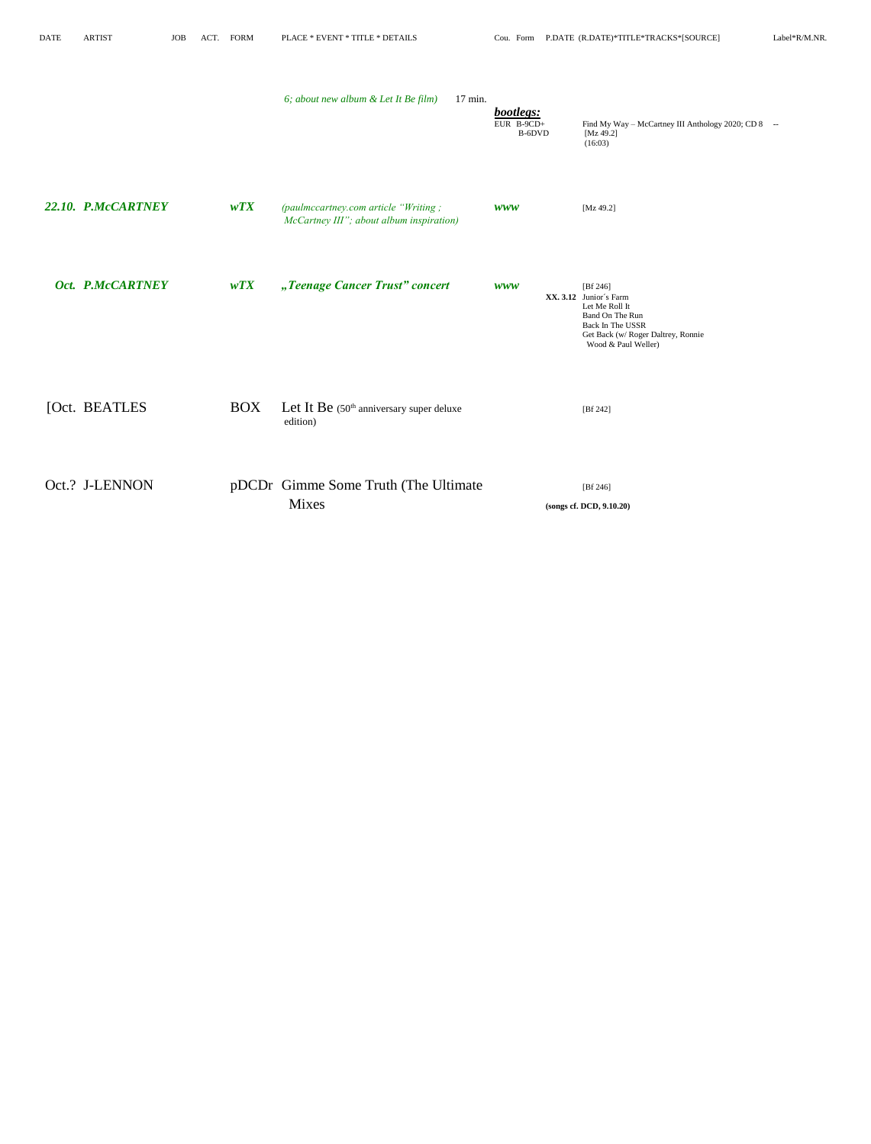| DATE | <b>ARTIST</b>      | <b>JOB</b> | ACT. FORM  | PLACE * EVENT * TITLE * DETAILS                                                  |                                   | Cou. Form P.DATE (R.DATE)*TITLE*TRACKS*[SOURCE]                                                                                                          | Label*R/M.NR. |
|------|--------------------|------------|------------|----------------------------------------------------------------------------------|-----------------------------------|----------------------------------------------------------------------------------------------------------------------------------------------------------|---------------|
|      |                    |            |            | 6; about new album & Let It Be film)<br>$17 \text{ min.}$                        | bootlegs:<br>EUR B-9CD+<br>B-6DVD | Find My Way - McCartney III Anthology 2020; CD 8 --<br>[Mz 49.2]<br>(16:03)                                                                              |               |
|      | 22.10. P.McCARTNEY |            | wTX        | (paulmccartney.com article "Writing;<br>McCartney III"; about album inspiration) | <b>WWW</b>                        | [ $Mz$ 49.2]                                                                                                                                             |               |
|      | Oct. P.McCARTNEY   |            | wTX        | "Teenage Cancer Trust" concert                                                   | <b>WWW</b>                        | [Bf 246]<br>XX. 3.12 Junior's Farm<br>Let Me Roll It<br>Band On The Run<br>Back In The USSR<br>Get Back (w/ Roger Daltrey, Ronnie<br>Wood & Paul Weller) |               |
|      | [Oct. BEATLES      |            | <b>BOX</b> | Let It Be (50 <sup>th</sup> anniversary super deluxe<br>edition)                 |                                   | [Bf 242]                                                                                                                                                 |               |
|      | Oct.? J-LENNON     |            |            | pDCDr Gimme Some Truth (The Ultimate<br>Mixes                                    |                                   | [Bf 246]<br>(songs cf. DCD, 9.10.20)                                                                                                                     |               |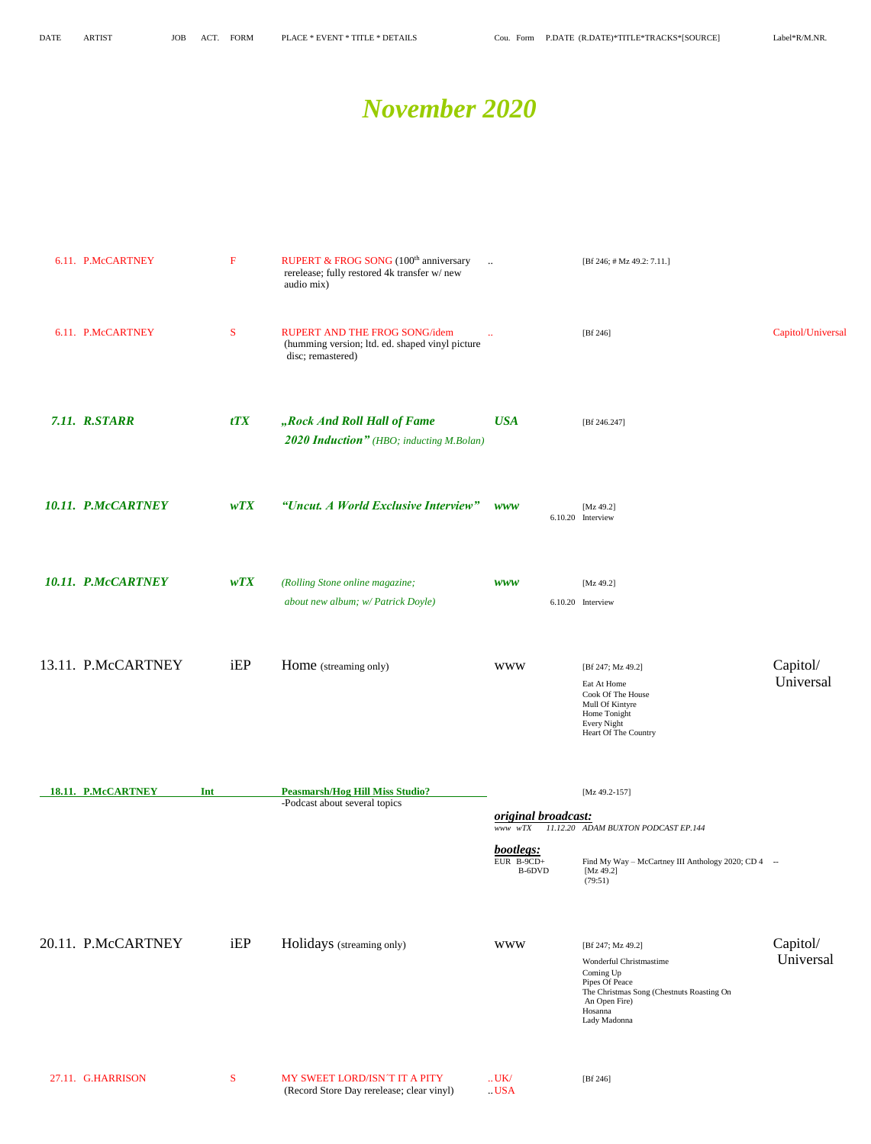#### *November 2020*

| 6.11. P.McCARTNEY         | $\mathbf F$ | RUPERT & FROG SONG (100 <sup>th</sup> anniversary<br>rerelease; fully restored 4k transfer w/new<br>audio mix) | $\ddotsc$                           | [Bf 246; # Mz 49.2: 7.11.]                                                                                                                      |                   |
|---------------------------|-------------|----------------------------------------------------------------------------------------------------------------|-------------------------------------|-------------------------------------------------------------------------------------------------------------------------------------------------|-------------------|
| 6.11. P.McCARTNEY         | S           | RUPERT AND THE FROG SONG/idem<br>(humming version; ltd. ed. shaped vinyl picture<br>disc; remastered)          | $\ddotsc$                           | [Bf $246$ ]                                                                                                                                     | Capitol/Universal |
| 7.11. R.STARR             | tTX         | "Rock And Roll Hall of Fame<br><b>2020 Induction"</b> (HBO; inducting M.Bolan)                                 | <b>USA</b>                          | [Bf 246.247]                                                                                                                                    |                   |
| 10.11. P.McCARTNEY        | WTX         | "Uncut. A World Exclusive Interview"                                                                           | <b>WWW</b>                          | [Mz 49.2]<br>6.10.20 Interview                                                                                                                  |                   |
| 10.11. P.McCARTNEY        | WTX         | (Rolling Stone online magazine;                                                                                | <b>WWW</b>                          | [Mz 49.2]                                                                                                                                       |                   |
|                           |             | about new album; w/ Patrick Doyle)                                                                             |                                     | 6.10.20 Interview                                                                                                                               |                   |
| 13.11. P.McCARTNEY        | iEP         | Home (streaming only)                                                                                          | <b>WWW</b>                          | [Bf 247; Mz 49.2]                                                                                                                               | Capitol/          |
|                           |             |                                                                                                                |                                     | Eat At Home<br>Cook Of The House<br>Mull Of Kintyre<br>Home Tonight<br>Every Night<br>Heart Of The Country                                      | Universal         |
| 18.11. P.McCARTNEY<br>Int |             | <b>Peasmarsh/Hog Hill Miss Studio?</b><br>-Podcast about several topics                                        |                                     | [Mz 49.2-157]                                                                                                                                   |                   |
|                           |             |                                                                                                                | original broadcast:<br>$www$ $wTX$  | 11.12.20 ADAM BUXTON PODCAST EP.144                                                                                                             |                   |
|                           |             |                                                                                                                | bootlegs:<br>EUR $B-9CD+$<br>B-6DVD | Find My Way - McCartney III Anthology 2020; CD 4 --<br>[ $Mz$ 49.2]<br>(79:51)                                                                  |                   |
| 20.11. P.McCARTNEY        | iEP         | Holidays (streaming only)                                                                                      | <b>WWW</b>                          | [Bf 247; Mz 49.2]                                                                                                                               | Capitol/          |
|                           |             |                                                                                                                |                                     | Wonderful Christmastime<br>Coming Up<br>Pipes Of Peace<br>The Christmas Song (Chestnuts Roasting On<br>An Open Fire)<br>Hosanna<br>Lady Madonna | Universal         |
| 27.11. G.HARRISON         | S.          | MY SWEET LORD/ISN T IT A PITY                                                                                  | UK/                                 | [Bf 246]                                                                                                                                        |                   |
|                           |             |                                                                                                                |                                     |                                                                                                                                                 |                   |

(Record Store Day rerelease; clear vinyl) ..USA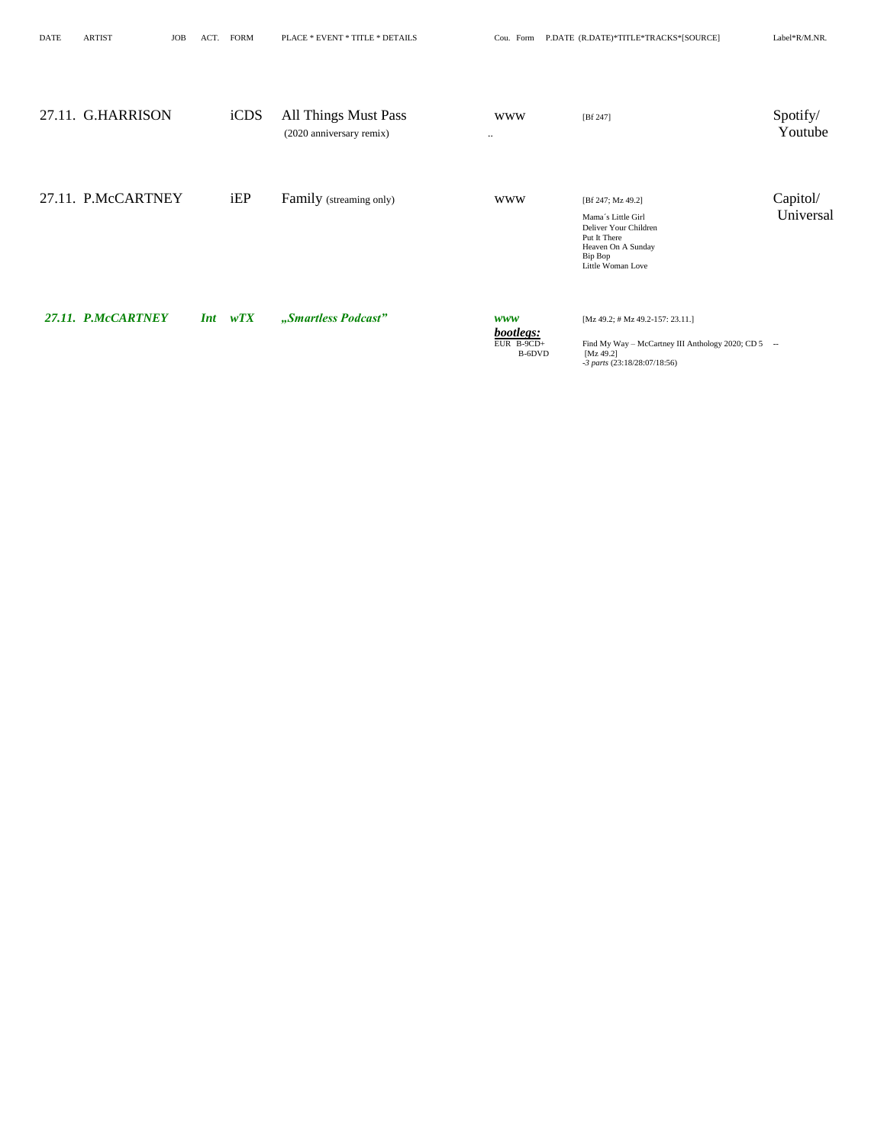DATE ARTIST JOB ACT. FORM PLACE \* EVENT \* TITLE \* DETAILS Cou. Form P.DATE (R.DATE)\*TITLE\*TRACKS\*[SOURCE] Label\*R/M.NR.

| 27.11. G.HARRISON  | iCDS              | <b>All Things Must Pass</b><br>(2020 anniversary remix) | <b>WWW</b><br>$\ddotsc$                         | [Bf 247]                                                                                                                                     | Spotify/<br>Youtube   |
|--------------------|-------------------|---------------------------------------------------------|-------------------------------------------------|----------------------------------------------------------------------------------------------------------------------------------------------|-----------------------|
| 27.11. P.McCARTNEY | iEP               | Family (streaming only)                                 | <b>WWW</b>                                      | [Bf 247; Mz 49.2]<br>Mama's Little Girl<br>Deliver Your Children<br>Put It There<br>Heaven On A Sunday<br>Bip Bop<br>Little Woman Love       | Capitol/<br>Universal |
| 27.11. P.McCARTNEY | wTX<br><b>Int</b> | "Smartless Podcast"                                     | <b>WWW</b><br>bootlegs:<br>EUR B-9CD+<br>B-6DVD | $[Mz 49.2; # Mz 49.2-157; 23.11.]$<br>Find My Way - McCartney III Anthology 2020; CD 5 --<br>[ $Mz 49.2$ ]<br>$-3$ parts (23:18/28:07/18:56) |                       |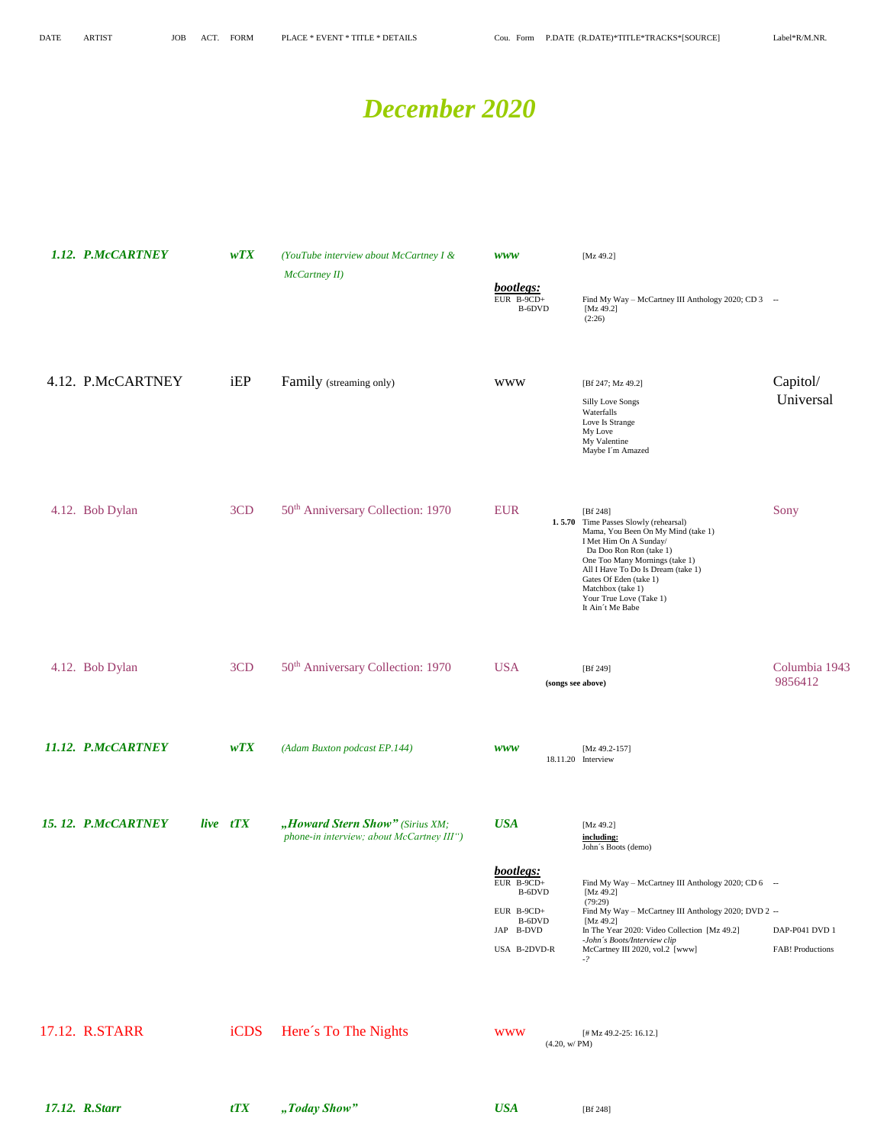### *December 2020*

| 1.12. P.McCARTNEY  | WTX      | (YouTube interview about McCartney I &<br>McCartney II)                      | <b>WWW</b>                                                                               | [ $Mz$ 49.2]                                                                                                                                                                                                                                                                                                       |                                    |
|--------------------|----------|------------------------------------------------------------------------------|------------------------------------------------------------------------------------------|--------------------------------------------------------------------------------------------------------------------------------------------------------------------------------------------------------------------------------------------------------------------------------------------------------------------|------------------------------------|
|                    |          |                                                                              | bootlegs:<br>EUR $B-9CD+$<br>B-6DVD                                                      | Find My Way - McCartney III Anthology 2020; CD 3 --<br>[Mz 49.2]<br>(2:26)                                                                                                                                                                                                                                         |                                    |
| 4.12. P.McCARTNEY  | iEP      | Family (streaming only)                                                      | <b>WWW</b>                                                                               | [Bf 247; Mz 49.2]<br>Silly Love Songs<br>Waterfalls<br>Love Is Strange<br>My Love<br>My Valentine<br>Maybe I'm Amazed                                                                                                                                                                                              | Capitol/<br>Universal              |
| 4.12. Bob Dylan    | 3CD      | 50 <sup>th</sup> Anniversary Collection: 1970                                | <b>EUR</b>                                                                               | [Bf 248]<br>1.5.70 Time Passes Slowly (rehearsal)<br>Mama, You Been On My Mind (take 1)<br>I Met Him On A Sunday/<br>Da Doo Ron Ron (take 1)<br>One Too Many Mornings (take 1)<br>All I Have To Do Is Dream (take 1)<br>Gates Of Eden (take 1)<br>Matchbox (take 1)<br>Your True Love (Take 1)<br>It Ain't Me Babe | Sony                               |
| 4.12. Bob Dylan    | 3CD      | 50 <sup>th</sup> Anniversary Collection: 1970                                | <b>USA</b><br>(songs see above)                                                          | [Bf 249]                                                                                                                                                                                                                                                                                                           | Columbia 1943<br>9856412           |
| 11.12. P.McCARTNEY | wTX      | (Adam Buxton podcast EP.144)                                                 | <b>WWW</b>                                                                               | [Mz 49.2-157]<br>18.11.20 Interview                                                                                                                                                                                                                                                                                |                                    |
| 15.12. P.McCARTNEY | live tTX | "Howard Stern Show" (Sirius XM;<br>phone-in interview; about McCartney III") | <b>USA</b>                                                                               | [ $Mz$ 49.2]<br>including:<br>John's Boots (demo)                                                                                                                                                                                                                                                                  |                                    |
|                    |          |                                                                              | bootlegs:<br>EUR $B-9CD+$<br>B-6DVD<br>EUR B-9CD+<br>B-6DVD<br>JAP B-DVD<br>USA B-2DVD-R | Find My Way - McCartney III Anthology 2020; CD 6 --<br>[Mz 49.2]<br>(79:29)<br>Find My Way - McCartney III Anthology 2020; DVD 2 --<br>[ $Mz$ 49.2]<br>In The Year 2020: Video Collection [Mz 49.2]<br>-John's Boots/Interview clip<br>McCartney III 2020, vol.2 [www]<br>$-?$                                     | DAP-P041 DVD 1<br>FAB! Productions |
| 17.12. R.STARR     | iCDS     | Here's To The Nights                                                         | <b>WWW</b><br>(4.20, w/PM)                                                               | [# Mz 49.2-25: 16.12.]                                                                                                                                                                                                                                                                                             |                                    |
| 17.12. R.Starr     | tTX      | "Today Show"                                                                 | <b>USA</b>                                                                               | [Bf 248]                                                                                                                                                                                                                                                                                                           |                                    |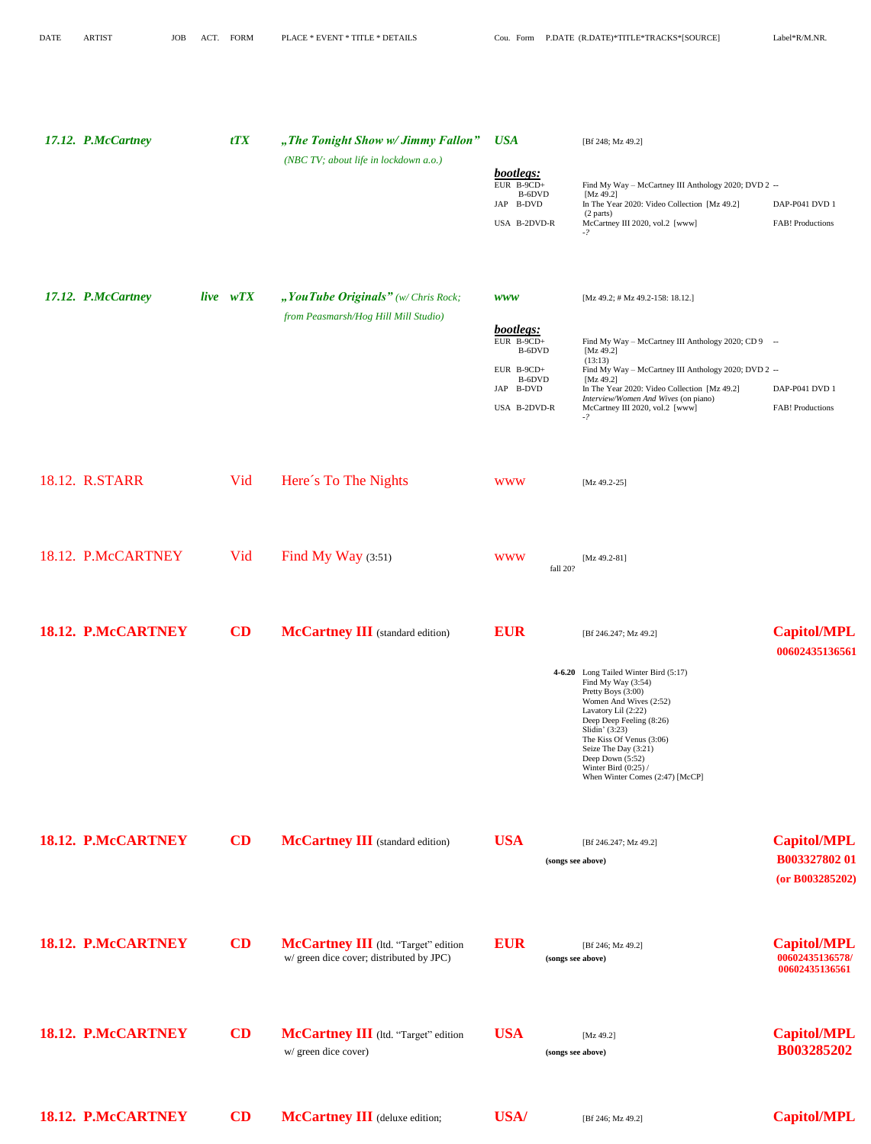| 17.12. P.McCartney | tTX           | "The Tonight Show w/ Jimmy Fallon"<br>(NBC TV; about life in lockdown a.o.)      | <b>USA</b><br>bootlegs:<br>EUR B-9CD+<br>B-6DVD<br>JAP B-DVD<br>USA B-2DVD-R                         | [Bf 248; Mz 49.2]<br>Find My Way - McCartney III Anthology 2020; DVD 2 --<br>[ $Mz$ 49.2]<br>In The Year 2020: Video Collection [Mz 49.2]<br>(2 parts)<br>McCartney III 2020, vol.2 [www]<br>$-?$                                                                                                                                              | DAP-P041 DVD 1<br>FAB! Productions                      |
|--------------------|---------------|----------------------------------------------------------------------------------|------------------------------------------------------------------------------------------------------|------------------------------------------------------------------------------------------------------------------------------------------------------------------------------------------------------------------------------------------------------------------------------------------------------------------------------------------------|---------------------------------------------------------|
| 17.12. P.McCartney | live wTX      | " You Tube Originals" (w/ Chris Rock;<br>from Peasmarsh/Hog Hill Mill Studio)    | <b>WWW</b><br>bootlegs:<br>EUR B-9CD+<br>B-6DVD<br>EUR B-9CD+<br>B-6DVD<br>JAP B-DVD<br>USA B-2DVD-R | $[Mz 49.2; # Mz 49.2-158: 18.12.]$<br>Find My Way - McCartney III Anthology 2020; CD 9 --<br>[Mz $49.2$ ]<br>(13:13)<br>Find My Way - McCartney III Anthology 2020; DVD 2 --<br>[ $Mz$ 49.2]<br>In The Year 2020: Video Collection [Mz 49.2]<br>Interview/Women And Wives (on piano)<br>McCartney III 2020, vol.2 [www]<br>$-2$                | DAP-P041 DVD 1<br>FAB! Productions                      |
| 18.12. R.STARR     | Vid           | Here's To The Nights                                                             | <b>WWW</b>                                                                                           | $[Mz 49.2-25]$                                                                                                                                                                                                                                                                                                                                 |                                                         |
| 18.12. P.McCARTNEY | Vid           | Find My Way $(3:51)$                                                             | <b>WWW</b><br>fall 20?                                                                               | [ $Mz$ 49.2-81]                                                                                                                                                                                                                                                                                                                                |                                                         |
| 18.12. P.McCARTNEY | CD            | McCartney III (standard edition)                                                 | <b>EUR</b>                                                                                           | [Bf 246.247; Mz 49.2]<br>4-6.20 Long Tailed Winter Bird (5:17)<br>Find My Way (3:54)<br>Pretty Boys (3:00)<br>Women And Wives (2:52)<br>Lavatory Lil (2:22)<br>Deep Deep Feeling (8:26)<br>Slidin' (3:23)<br>The Kiss Of Venus (3:06)<br>Seize The Day (3:21)<br>Deep Down (5:52)<br>Winter Bird $(0:25)$ /<br>When Winter Comes (2:47) [McCP] | <b>Capitol/MPL</b><br>00602435136561                    |
| 18.12. P.McCARTNEY | CD            | McCartney III (standard edition)                                                 | <b>USA</b><br>(songs see above)                                                                      | [Bf 246.247; Mz 49.2]                                                                                                                                                                                                                                                                                                                          | <b>Capitol/MPL</b><br>B00332780201<br>(or B003285202)   |
| 18.12. P.McCARTNEY | CD            | McCartney III (Itd. "Target" edition<br>w/ green dice cover; distributed by JPC) | <b>EUR</b><br>(songs see above)                                                                      | [Bf 246; Mz 49.2]                                                                                                                                                                                                                                                                                                                              | <b>Capitol/MPL</b><br>00602435136578/<br>00602435136561 |
| 18.12. P.McCARTNEY | $\mathbf{CD}$ | McCartney III (ltd. "Target" edition<br>w/ green dice cover)                     | <b>USA</b><br>(songs see above)                                                                      | [Mz 49.2]                                                                                                                                                                                                                                                                                                                                      | <b>Capitol/MPL</b><br><b>B003285202</b>                 |
| 18.12. P.McCARTNEY | CD            | McCartney III (deluxe edition;                                                   | <b>USA/</b>                                                                                          | [Bf 246; Mz 49.2]                                                                                                                                                                                                                                                                                                                              | <b>Capitol/MPL</b>                                      |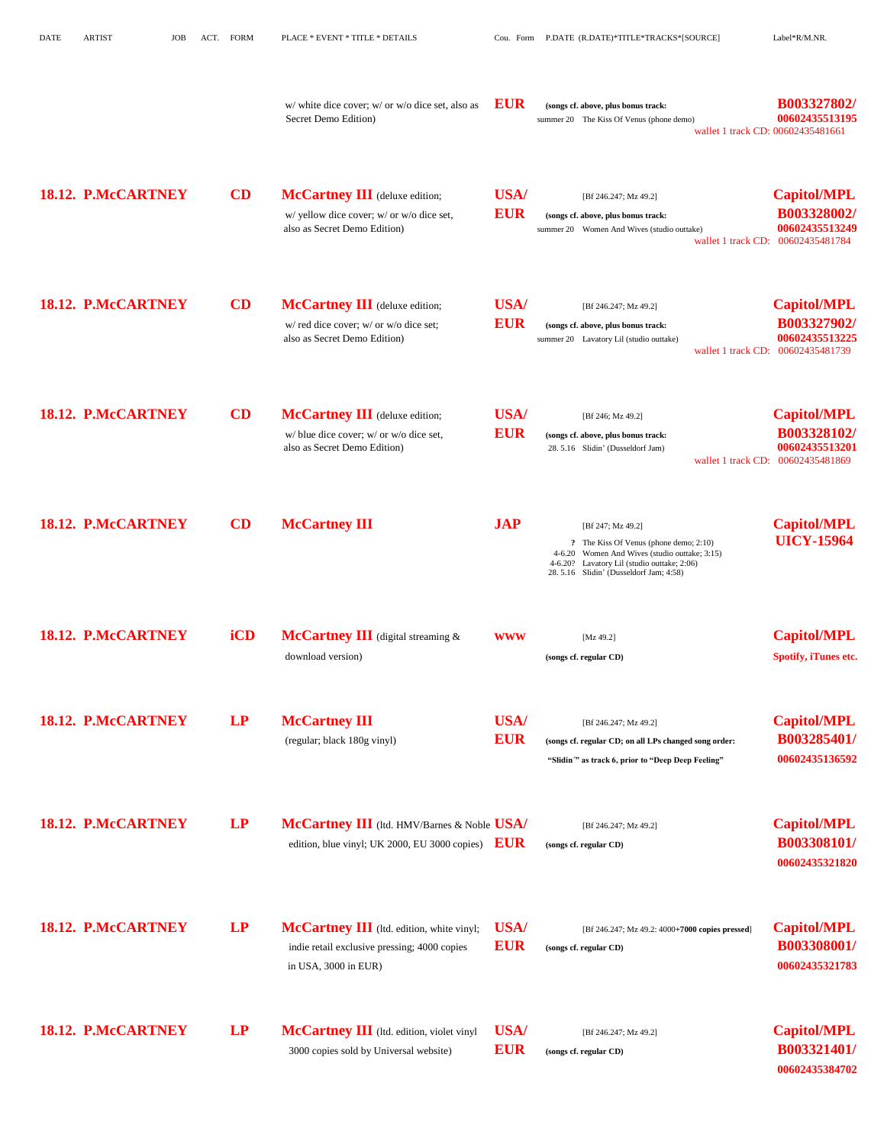| <b>DATE</b> | <b>ARTIST</b>             | <b>JOB</b> | ACT. | FORM | PLACE * EVENT * TITLE * DETAILS                                                                                          |                           | Cou. Form P.DATE (R.DATE)*TITLE*TRACKS*[SOURCE]                                                                                                                                                              | Label*R/M.NR.                                                                            |
|-------------|---------------------------|------------|------|------|--------------------------------------------------------------------------------------------------------------------------|---------------------------|--------------------------------------------------------------------------------------------------------------------------------------------------------------------------------------------------------------|------------------------------------------------------------------------------------------|
|             |                           |            |      |      | w/ white dice cover; w/ or w/o dice set, also as<br>Secret Demo Edition)                                                 | <b>EUR</b>                | (songs cf. above, plus bonus track:<br>summer 20 The Kiss Of Venus (phone demo)<br>wallet 1 track CD: 00602435481661                                                                                         | B003327802/<br>00602435513195                                                            |
|             | 18.12. P.McCARTNEY        |            |      | CD   | <b>McCartney III</b> (deluxe edition;<br>w/ yellow dice cover; w/ or w/o dice set,<br>also as Secret Demo Edition)       | <b>USA/</b><br><b>EUR</b> | [Bf 246.247; Mz 49.2]<br>(songs cf. above, plus bonus track:<br>summer 20 Women And Wives (studio outtake)<br>wallet 1 track CD:                                                                             | <b>Capitol/MPL</b><br>B003328002/<br>00602435513249<br>00602435481784                    |
|             | 18.12. P.McCARTNEY        |            |      | CD   | <b>McCartney III</b> (deluxe edition;<br>w/ red dice cover; w/ or w/o dice set;<br>also as Secret Demo Edition)          | <b>USA/</b><br><b>EUR</b> | [Bf 246.247; Mz 49.2]<br>(songs cf. above, plus bonus track:<br>summer 20 Lavatory Lil (studio outtake)                                                                                                      | <b>Capitol/MPL</b><br>B003327902/<br>00602435513225<br>wallet 1 track CD: 00602435481739 |
|             | 18.12. P.McCARTNEY        |            |      | CD   | <b>McCartney III</b> (deluxe edition;<br>w/ blue dice cover; w/ or w/o dice set,<br>also as Secret Demo Edition)         | <b>USA/</b><br><b>EUR</b> | [Bf 246; Mz 49.2]<br>(songs cf. above, plus bonus track:<br>28.5.16 Slidin' (Dusseldorf Jam)                                                                                                                 | <b>Capitol/MPL</b><br>B003328102/<br>00602435513201<br>wallet 1 track CD: 00602435481869 |
|             | <b>18.12. P.McCARTNEY</b> |            |      | CD   | <b>McCartney III</b>                                                                                                     | <b>JAP</b>                | [Bf 247; Mz 49.2]<br>? The Kiss Of Venus (phone demo; 2:10)<br>4-6.20 Women And Wives (studio outtake; 3:15)<br>Lavatory Lil (studio outtake; 2:06)<br>$4 - 6.20?$<br>28.5.16 Slidin' (Dusseldorf Jam; 4:58) | <b>Capitol/MPL</b><br><b>UICY-15964</b>                                                  |
|             | 18.12. P.McCARTNEY        |            |      | iCD  | <b>McCartney III</b> (digital streaming $\&$<br>download version)                                                        | <b>WWW</b>                | [ $Mz$ 49.2]<br>(songs cf. regular CD)                                                                                                                                                                       | <b>Capitol/MPL</b><br>Spotify, iTunes etc.                                               |
|             | 18.12. P.McCARTNEY        |            |      | LP   | <b>McCartney III</b><br>(regular; black 180g vinyl)                                                                      | USA/<br><b>EUR</b>        | [Bf 246.247; Mz 49.2]<br>(songs cf. regular CD; on all LPs changed song order:<br>"Slidin" as track 6, prior to "Deep Deep Feeling"                                                                          | <b>Capitol/MPL</b><br>B003285401/<br>00602435136592                                      |
|             | 18.12. P.McCARTNEY        |            |      | LP   | McCartney III (Itd. HMV/Barnes & Noble USA/<br>edition, blue vinyl; UK 2000, EU 3000 copies) $EUR$                       |                           | [Bf 246.247; Mz 49.2]<br>(songs cf. regular CD)                                                                                                                                                              | <b>Capitol/MPL</b><br>B003308101/<br>00602435321820                                      |
|             | <b>18.12. P.McCARTNEY</b> |            |      | LP   | <b>McCartney III</b> (Itd. edition, white vinyl;<br>indie retail exclusive pressing; 4000 copies<br>in USA, 3000 in EUR) | USA/<br><b>EUR</b>        | [Bf 246.247; Mz 49.2: 4000+7000 copies pressed]<br>(songs cf. regular CD)                                                                                                                                    | <b>Capitol/MPL</b><br>B003308001/<br>00602435321783                                      |
|             | 18.12. P.McCARTNEY        |            |      | LP   | McCartney III (Itd. edition, violet vinyl<br>3000 copies sold by Universal website)                                      | <b>USA/</b><br><b>EUR</b> | [Bf 246.247; Mz 49.2]<br>(songs cf. regular CD)                                                                                                                                                              | <b>Capitol/MPL</b><br>B003321401/<br>00602435384702                                      |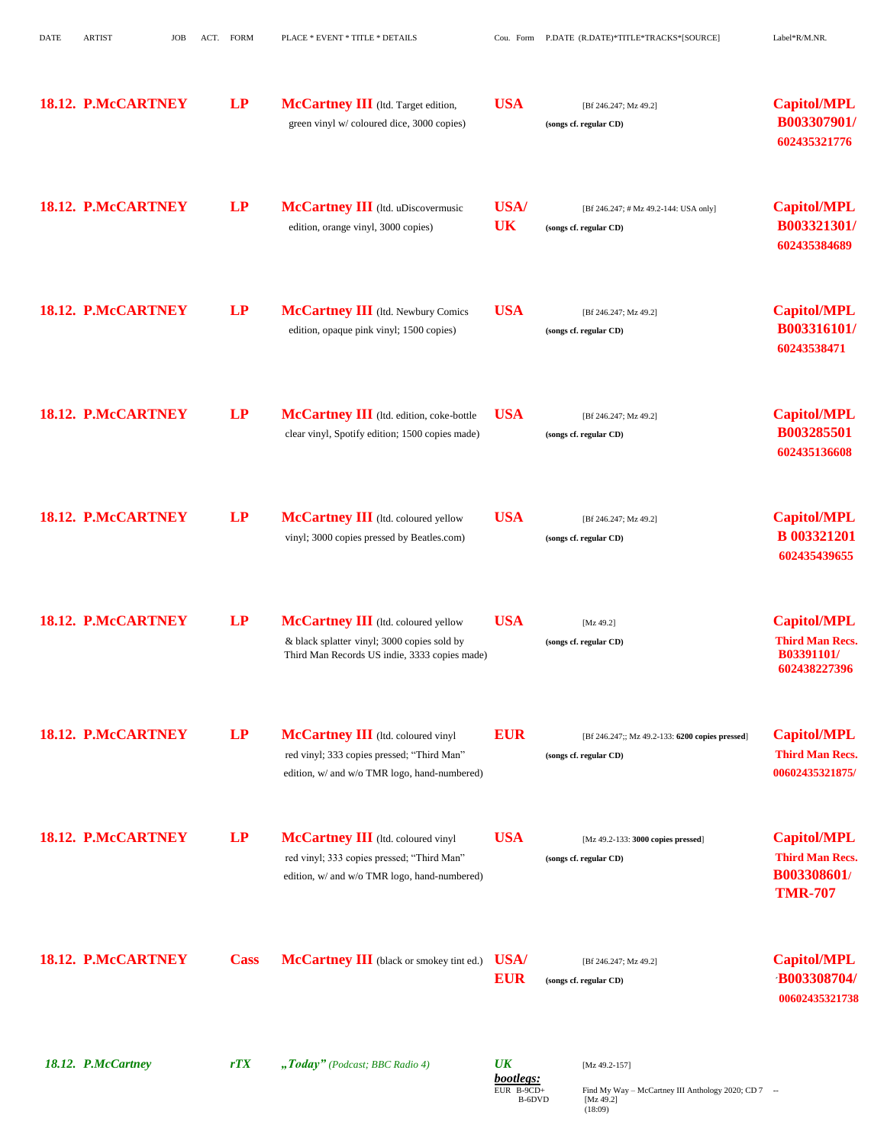| <b>DATE</b> | <b>ARTIST</b>      | <b>JOB</b> | ACT. FORM | PLACE * EVENT * TITLE * DETAILS                                                                                                     |                          | Cou. Form P.DATE (R.DATE)*TITLE*TRACKS*[SOURCE]                           | Label*R/M.NR.                                                                 |
|-------------|--------------------|------------|-----------|-------------------------------------------------------------------------------------------------------------------------------------|--------------------------|---------------------------------------------------------------------------|-------------------------------------------------------------------------------|
|             | 18.12. P.McCARTNEY |            | LP        | McCartney III (Itd. Target edition,<br>green vinyl w/ coloured dice, 3000 copies)                                                   | <b>USA</b>               | [Bf 246.247; Mz 49.2]<br>(songs cf. regular CD)                           | <b>Capitol/MPL</b><br>B003307901/<br>602435321776                             |
|             | 18.12. P.McCARTNEY |            | LP        | McCartney III (Itd. uDiscovermusic<br>edition, orange vinyl, 3000 copies)                                                           | <b>USA/</b><br><b>UK</b> | [Bf 246.247; # Mz 49.2-144: USA only]<br>(songs cf. regular CD)           | <b>Capitol/MPL</b><br>B003321301/<br>602435384689                             |
|             | 18.12. P.McCARTNEY |            | LP        | McCartney III (Itd. Newbury Comics<br>edition, opaque pink vinyl; 1500 copies)                                                      | <b>USA</b>               | [Bf 246.247; Mz 49.2]<br>(songs cf. regular CD)                           | <b>Capitol/MPL</b><br>B003316101/<br>60243538471                              |
|             | 18.12. P.McCARTNEY |            | LP        | McCartney III (Itd. edition, coke-bottle<br>clear vinyl, Spotify edition; 1500 copies made)                                         | <b>USA</b>               | [Bf 246.247; Mz 49.2]<br>(songs cf. regular CD)                           | <b>Capitol/MPL</b><br>B003285501<br>602435136608                              |
|             | 18.12. P.McCARTNEY |            | LP        | McCartney III (Itd. coloured yellow<br>vinyl; 3000 copies pressed by Beatles.com)                                                   | <b>USA</b>               | [Bf 246.247; Mz 49.2]<br>(songs cf. regular CD)                           | <b>Capitol/MPL</b><br><b>B</b> 003321201<br>602435439655                      |
|             | 18.12. P.McCARTNEY |            | LP        | McCartney III (Itd. coloured yellow<br>& black splatter vinyl; 3000 copies sold by<br>Third Man Records US indie, 3333 copies made) | <b>USA</b>               | [Mz 49.2]<br>(songs cf. regular CD)                                       | <b>Capitol/MPL</b><br><b>Third Man Recs.</b><br>B03391101/<br>602438227396    |
|             | 18.12. P.McCARTNEY |            | LP        | McCartney III (ltd. coloured vinyl<br>red vinyl; 333 copies pressed; "Third Man"<br>edition, w/ and w/o TMR logo, hand-numbered)    | <b>EUR</b>               | [Bf 246.247;; Mz 49.2-133: 6200 copies pressed]<br>(songs cf. regular CD) | <b>Capitol/MPL</b><br><b>Third Man Recs.</b><br>00602435321875/               |
|             | 18.12. P.McCARTNEY |            | LP        | McCartney III (ltd. coloured vinyl<br>red vinyl; 333 copies pressed; "Third Man"<br>edition, w/ and w/o TMR logo, hand-numbered)    | <b>USA</b>               | [Mz 49.2-133: 3000 copies pressed]<br>(songs cf. regular CD)              | <b>Capitol/MPL</b><br><b>Third Man Recs.</b><br>B003308601/<br><b>TMR-707</b> |
|             | 18.12. P.McCARTNEY |            |           | <b>Cass McCartney III</b> (black or smokey tint ed.) USA/                                                                           | <b>EUR</b>               | [Bf 246.247; Mz 49.2]<br>(songs cf. regular CD)                           | <b>Capitol/MPL</b><br><b>B003308704/</b><br>00602435321738                    |
|             |                    |            |           |                                                                                                                                     |                          |                                                                           |                                                                               |

*18.12. P.McCartney rTX "Today" (Podcast; BBC Radio 4) UK* [Mz 49.2-157]

**bootlegs:**<br>EUR B-9CD+<br>B-6DVD

EUR B-9CD+ Find My Way – McCartney III Anthology 2020; CD 7 --B-6DVD [Mz 49.2] (18:09)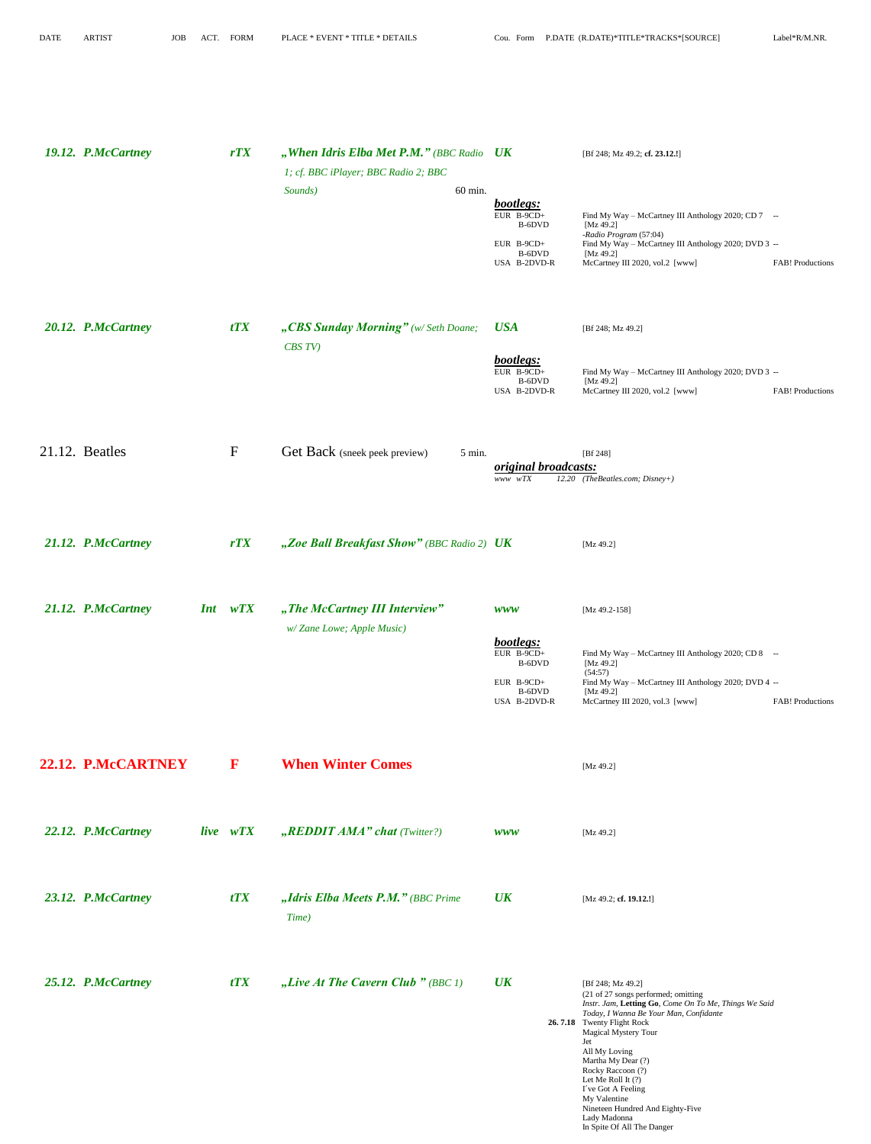My Valentine

Lady Madonna

Nineteen Hundred And Eighty-Five

In Spite Of All The Danger

| 19.12. P.McCartney | rTX          | "When Idris Elba Met P.M." (BBC Radio UK<br>1; cf. BBC iPlayer; BBC Radio 2; BBC<br>Sounds) | 60 min. |                                        | [Bf 248; Mz 49.2; cf. 23.12.!]                                                                                                         |
|--------------------|--------------|---------------------------------------------------------------------------------------------|---------|----------------------------------------|----------------------------------------------------------------------------------------------------------------------------------------|
|                    |              |                                                                                             |         | bootlegs:<br>$EUR$ B-9CD+              | Find My Way - McCartney III Anthology 2020; CD 7 --                                                                                    |
|                    |              |                                                                                             |         | B-6DVD<br>EUR B-9CD+                   | [Mz 49.2]<br>-Radio Program (57:04)<br>Find My Way - McCartney III Anthology 2020; DVD 3 --                                            |
|                    |              |                                                                                             |         | B-6DVD<br>USA B-2DVD-R                 | [Mz 49.2]<br>McCartney III 2020, vol.2 [www]<br><b>FAB!</b> Productions                                                                |
|                    |              |                                                                                             |         |                                        |                                                                                                                                        |
|                    |              |                                                                                             |         |                                        |                                                                                                                                        |
| 20.12. P.McCartney | tTX          | "CBS Sunday Morning" (w/Seth Doane;<br>CBS TV)                                              |         | <b>USA</b>                             | [Bf 248; Mz 49.2]                                                                                                                      |
|                    |              |                                                                                             |         | bootlegs:<br>EUR $B-9CD+$              | Find My Way - McCartney III Anthology 2020; DVD 3 --                                                                                   |
|                    |              |                                                                                             |         | B-6DVD<br>USA B-2DVD-R                 | [Mz 49.2]<br>McCartney III 2020, vol.2 [www]<br><b>FAB!</b> Productions                                                                |
|                    |              |                                                                                             |         |                                        |                                                                                                                                        |
|                    |              |                                                                                             |         |                                        |                                                                                                                                        |
| 21.12. Beatles     | $\mathbf{F}$ | Get Back (sneek peek preview)                                                               | 5 min.  | original broadcasts:                   | [Bf 248]                                                                                                                               |
|                    |              |                                                                                             |         | www wTX                                | 12.20 (TheBeatles.com; Disney+)                                                                                                        |
|                    |              |                                                                                             |         |                                        |                                                                                                                                        |
| 21.12. P.McCartney | rTX          | "Zoe Ball Breakfast Show" (BBC Radio 2) UK                                                  |         |                                        | [Mz 49.2]                                                                                                                              |
|                    |              |                                                                                             |         |                                        |                                                                                                                                        |
|                    |              |                                                                                             |         |                                        |                                                                                                                                        |
| 21.12. P.McCartney | $Int$ $wTX$  | "The McCartney III Interview"                                                               |         | <b>WWW</b>                             | [Mz 49.2-158]                                                                                                                          |
|                    |              | w/Zane Lowe; Apple Music)                                                                   |         | bootlegs:<br>EUR B-9CD+                |                                                                                                                                        |
|                    |              |                                                                                             |         | B-6DVD                                 | Find My Way - McCartney III Anthology 2020; CD 8 --<br>[Mz 49.2]<br>(54:57)                                                            |
|                    |              |                                                                                             |         | EUR $B-9CD+$<br>B-6DVD<br>USA B-2DVD-R | Find My Way - McCartney III Anthology 2020; DVD 4 --<br>[ $Mz$ 49.2]<br>McCartney III 2020, vol.3 [www]<br><b>FAB!</b> Productions     |
|                    |              |                                                                                             |         |                                        |                                                                                                                                        |
|                    |              |                                                                                             |         |                                        |                                                                                                                                        |
| 22.12. P.McCARTNEY | $\mathbf{F}$ | <b>When Winter Comes</b>                                                                    |         |                                        | [Mz 49.2]                                                                                                                              |
|                    |              |                                                                                             |         |                                        |                                                                                                                                        |
| 22.12. P.McCartney | live wTX     | "REDDIT AMA" chat (Twitter?)                                                                |         | <b>WWW</b>                             | [Mz 49.2]                                                                                                                              |
|                    |              |                                                                                             |         |                                        |                                                                                                                                        |
|                    |              |                                                                                             |         |                                        |                                                                                                                                        |
| 23.12. P.McCartney | tTX          | "Idris Elba Meets P.M." (BBC Prime                                                          |         | $\overline{UK}$                        | [Mz 49.2; cf. 19.12.!]                                                                                                                 |
|                    |              | Time)                                                                                       |         |                                        |                                                                                                                                        |
|                    |              |                                                                                             |         |                                        |                                                                                                                                        |
| 25.12. P.McCartney | tTX          | "Live At The Cavern Club " (BBC 1)                                                          |         | $\overline{UK}$                        | [Bf 248; Mz 49.2]                                                                                                                      |
|                    |              |                                                                                             |         |                                        | (21 of 27 songs performed; omitting<br>Instr. Jam, Letting Go, Come On To Me, Things We Said<br>Today, I Wanna Be Your Man, Confidante |
|                    |              |                                                                                             |         |                                        | 26.7.18 Twenty Flight Rock<br>Magical Mystery Tour                                                                                     |
|                    |              |                                                                                             |         |                                        | Jet<br>All My Loving<br>Martha My Dear (?)                                                                                             |
|                    |              |                                                                                             |         |                                        | Rocky Raccoon (?)<br>Let Me Roll It (?)<br>I've Got A Feeling                                                                          |